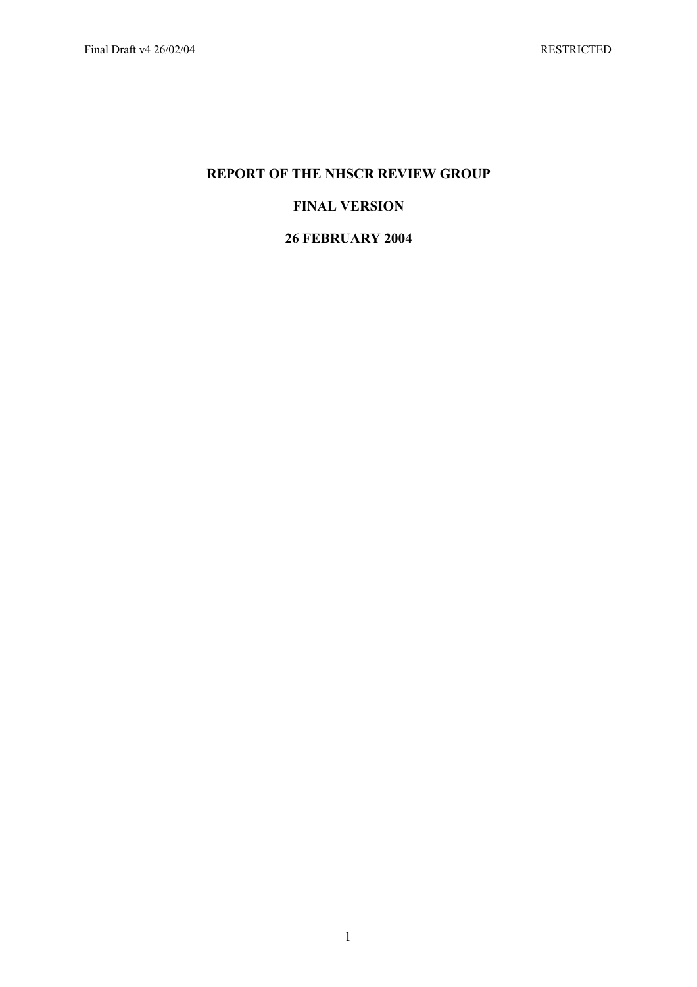# **REPORT OF THE NHSCR REVIEW GROUP**

# **FINAL VERSION**

# **26 FEBRUARY 2004**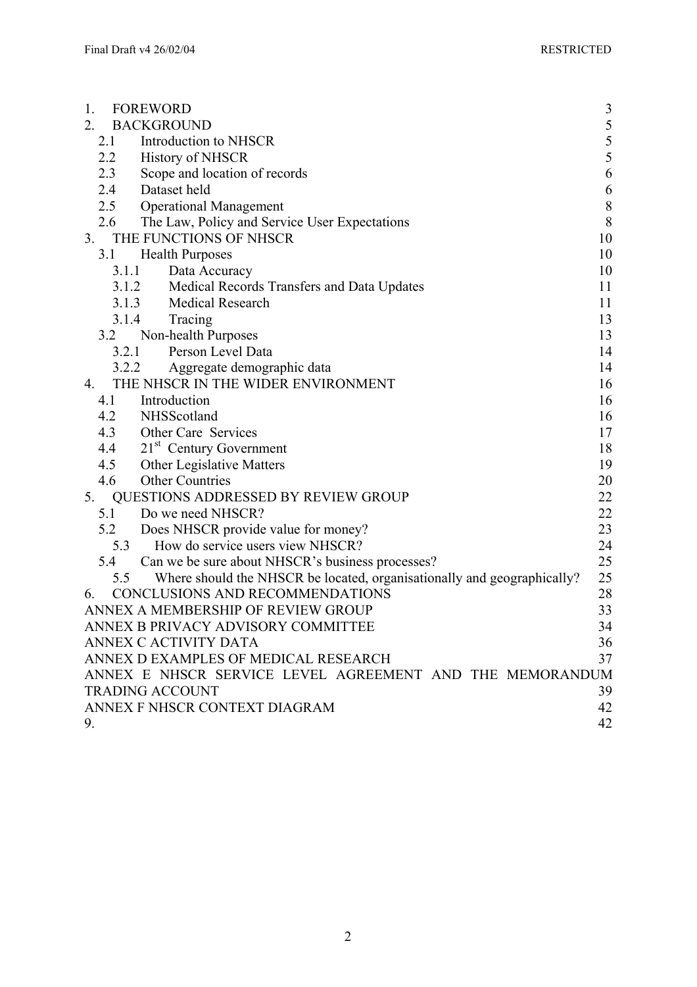| <b>FOREWORD</b><br>3<br>1.                                                                                                                        |
|---------------------------------------------------------------------------------------------------------------------------------------------------|
| $\begin{array}{c} 5 \\ 5 \\ 5 \end{array}$<br>2.<br><b>BACKGROUND</b>                                                                             |
| 2.1<br>Introduction to NHSCR                                                                                                                      |
| 2.2<br><b>History of NHSCR</b>                                                                                                                    |
| 6<br>2.3<br>Scope and location of records                                                                                                         |
| 6<br>2.4<br>Dataset held                                                                                                                          |
| <b>Operational Management</b><br>$\,$ $\,$<br>2.5                                                                                                 |
| 8<br>The Law, Policy and Service User Expectations<br>2.6                                                                                         |
| THE FUNCTIONS OF NHSCR<br>10<br>3.                                                                                                                |
| 3.1<br>10<br><b>Health Purposes</b>                                                                                                               |
| 3.1.1<br>Data Accuracy<br>10                                                                                                                      |
| Medical Records Transfers and Data Updates<br>3.1.2<br>11                                                                                         |
| 3.1.3 Medical Research<br>11                                                                                                                      |
| 3.1.4<br>Tracing<br>13                                                                                                                            |
| Non-health Purposes<br>3.2<br>13                                                                                                                  |
| Person Level Data<br>3.2.1<br>14                                                                                                                  |
| 3.2.2<br>Aggregate demographic data<br>14                                                                                                         |
| THE NHSCR IN THE WIDER ENVIRONMENT<br>16<br>4.                                                                                                    |
| Introduction<br>16<br>4.1                                                                                                                         |
| 4.2<br>NHSScotland<br>16                                                                                                                          |
| 4.3<br>Other Care Services<br>17                                                                                                                  |
| 4.4<br>21 <sup>st</sup> Century Government<br>18                                                                                                  |
| 4.5<br><b>Other Legislative Matters</b><br>19                                                                                                     |
| 4.6<br><b>Other Countries</b><br>20                                                                                                               |
| 22<br>5.<br><b>QUESTIONS ADDRESSED BY REVIEW GROUP</b>                                                                                            |
| 22<br>5.1 Do we need NHSCR?                                                                                                                       |
| 23<br>5.2<br>Does NHSCR provide value for money?                                                                                                  |
| How do service users view NHSCR?<br>24<br>5.3                                                                                                     |
| 25<br>Can we be sure about NHSCR's business processes?<br>5.4                                                                                     |
| 25<br>Where should the NHSCR be located, organisationally and geographically?<br>5.5                                                              |
| CONCLUSIONS AND RECOMMENDATIONS<br>28<br>6.                                                                                                       |
| 33<br>ANNEX A MEMBERSHIP OF REVIEW GROUP                                                                                                          |
| ANNEX B PRIVACY ADVISORY COMMITTEE<br>34                                                                                                          |
|                                                                                                                                                   |
|                                                                                                                                                   |
|                                                                                                                                                   |
| <b>TRADING ACCOUNT</b>                                                                                                                            |
| ANNEX F NHSCR CONTEXT DIAGRAM                                                                                                                     |
| 42<br>9.                                                                                                                                          |
| 36<br>ANNEX C ACTIVITY DATA<br>ANNEX D EXAMPLES OF MEDICAL RESEARCH<br>37<br>ANNEX E NHSCR SERVICE LEVEL AGREEMENT AND THE MEMORANDUM<br>39<br>42 |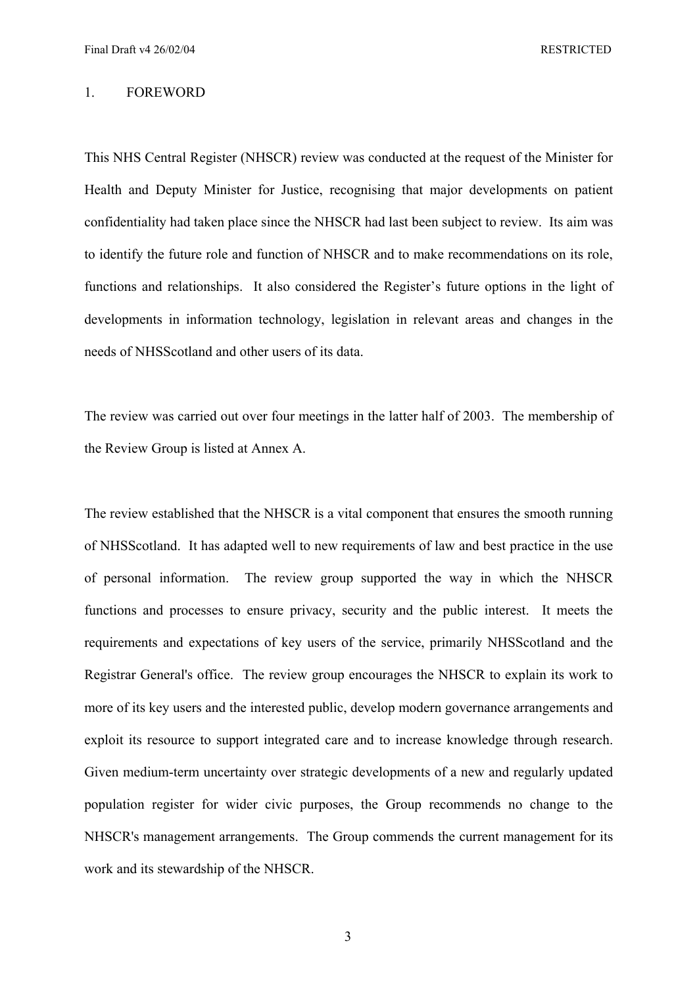#### 1. FOREWORD

This NHS Central Register (NHSCR) review was conducted at the request of the Minister for Health and Deputy Minister for Justice, recognising that major developments on patient confidentiality had taken place since the NHSCR had last been subject to review. Its aim was to identify the future role and function of NHSCR and to make recommendations on its role, functions and relationships. It also considered the Register's future options in the light of developments in information technology, legislation in relevant areas and changes in the needs of NHSScotland and other users of its data.

The review was carried out over four meetings in the latter half of 2003. The membership of the Review Group is listed at Annex A.

The review established that the NHSCR is a vital component that ensures the smooth running of NHSScotland. It has adapted well to new requirements of law and best practice in the use of personal information. The review group supported the way in which the NHSCR functions and processes to ensure privacy, security and the public interest. It meets the requirements and expectations of key users of the service, primarily NHSScotland and the Registrar General's office. The review group encourages the NHSCR to explain its work to more of its key users and the interested public, develop modern governance arrangements and exploit its resource to support integrated care and to increase knowledge through research. Given medium-term uncertainty over strategic developments of a new and regularly updated population register for wider civic purposes, the Group recommends no change to the NHSCR's management arrangements. The Group commends the current management for its work and its stewardship of the NHSCR.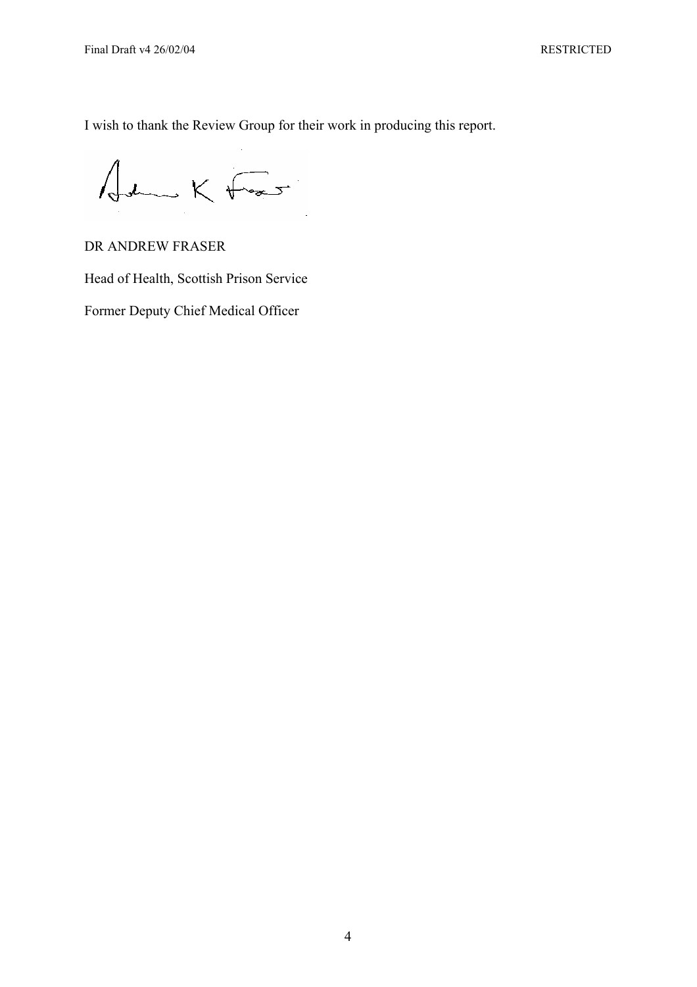I wish to thank the Review Group for their work in producing this report.

John K Frant

DR ANDREW FRASER

Head of Health, Scottish Prison Service

Former Deputy Chief Medical Officer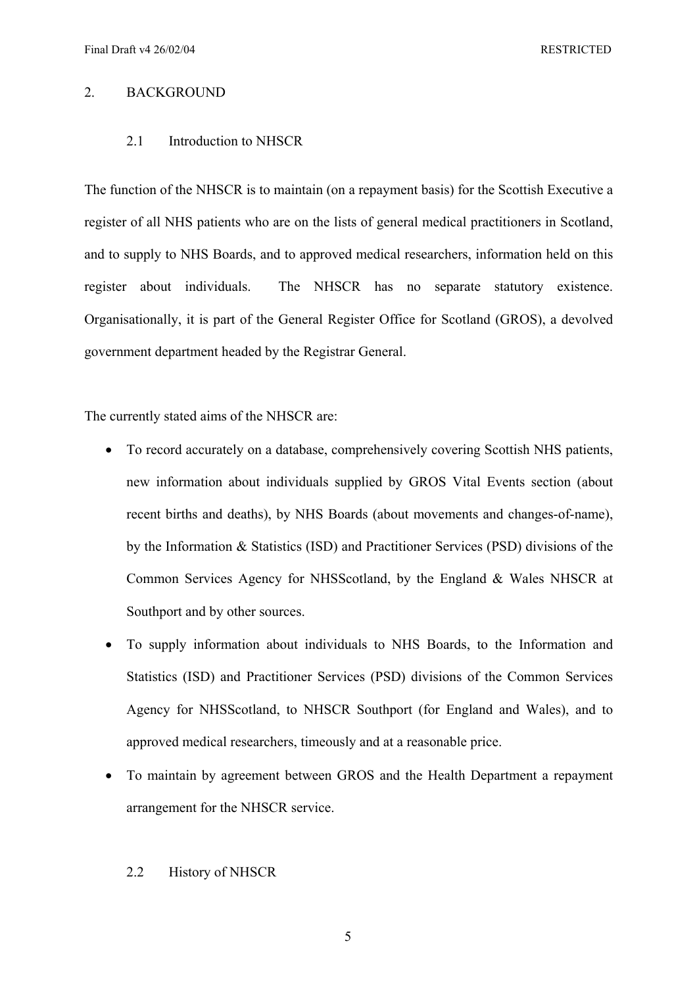# 2. BACKGROUND

## 2.1 Introduction to NHSCR

The function of the NHSCR is to maintain (on a repayment basis) for the Scottish Executive a register of all NHS patients who are on the lists of general medical practitioners in Scotland, and to supply to NHS Boards, and to approved medical researchers, information held on this register about individuals. The NHSCR has no separate statutory existence. Organisationally, it is part of the General Register Office for Scotland (GROS), a devolved government department headed by the Registrar General.

The currently stated aims of the NHSCR are:

- To record accurately on a database, comprehensively covering Scottish NHS patients, new information about individuals supplied by GROS Vital Events section (about recent births and deaths), by NHS Boards (about movements and changes-of-name), by the Information & Statistics (ISD) and Practitioner Services (PSD) divisions of the Common Services Agency for NHSScotland, by the England & Wales NHSCR at Southport and by other sources.
- To supply information about individuals to NHS Boards, to the Information and Statistics (ISD) and Practitioner Services (PSD) divisions of the Common Services Agency for NHSScotland, to NHSCR Southport (for England and Wales), and to approved medical researchers, timeously and at a reasonable price.
- To maintain by agreement between GROS and the Health Department a repayment arrangement for the NHSCR service.

### 2.2 History of NHSCR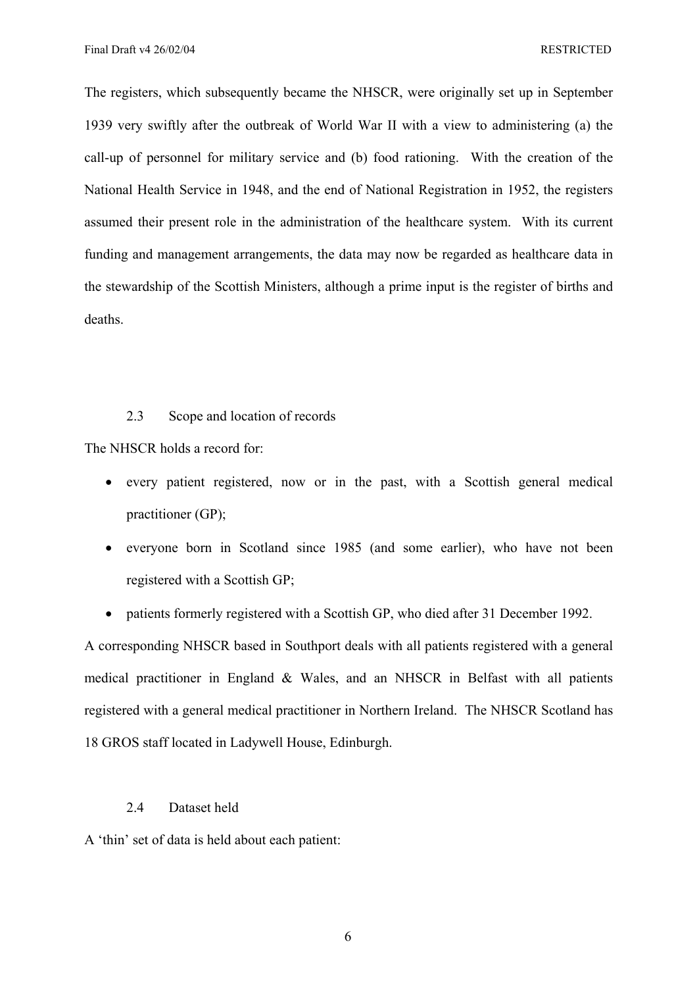The registers, which subsequently became the NHSCR, were originally set up in September 1939 very swiftly after the outbreak of World War II with a view to administering (a) the call-up of personnel for military service and (b) food rationing. With the creation of the National Health Service in 1948, and the end of National Registration in 1952, the registers assumed their present role in the administration of the healthcare system. With its current funding and management arrangements, the data may now be regarded as healthcare data in the stewardship of the Scottish Ministers, although a prime input is the register of births and deaths.

# 2.3 Scope and location of records

The NHSCR holds a record for:

- every patient registered, now or in the past, with a Scottish general medical practitioner (GP);
- everyone born in Scotland since 1985 (and some earlier), who have not been registered with a Scottish GP;
- patients formerly registered with a Scottish GP, who died after 31 December 1992.

A corresponding NHSCR based in Southport deals with all patients registered with a general medical practitioner in England & Wales, and an NHSCR in Belfast with all patients registered with a general medical practitioner in Northern Ireland. The NHSCR Scotland has 18 GROS staff located in Ladywell House, Edinburgh.

# 2.4 Dataset held

A 'thin' set of data is held about each patient: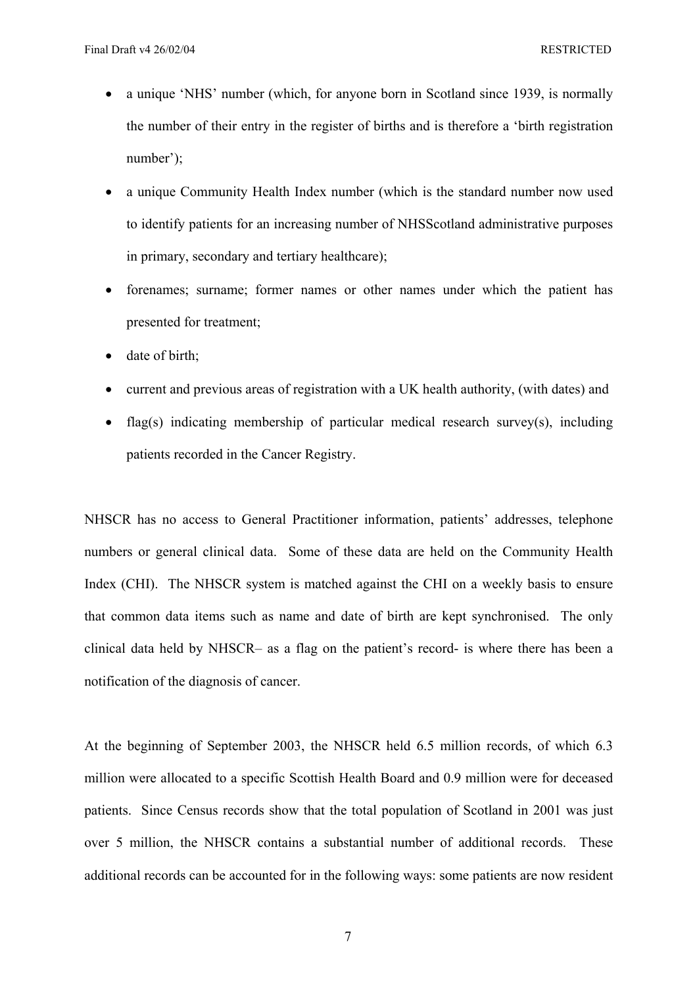- a unique 'NHS' number (which, for anyone born in Scotland since 1939, is normally the number of their entry in the register of births and is therefore a 'birth registration number');
- a unique Community Health Index number (which is the standard number now used to identify patients for an increasing number of NHSScotland administrative purposes in primary, secondary and tertiary healthcare);
- forenames; surname; former names or other names under which the patient has presented for treatment;
- date of birth;
- current and previous areas of registration with a UK health authority, (with dates) and
- flag(s) indicating membership of particular medical research survey(s), including patients recorded in the Cancer Registry.

NHSCR has no access to General Practitioner information, patients' addresses, telephone numbers or general clinical data. Some of these data are held on the Community Health Index (CHI). The NHSCR system is matched against the CHI on a weekly basis to ensure that common data items such as name and date of birth are kept synchronised. The only clinical data held by NHSCR– as a flag on the patient's record- is where there has been a notification of the diagnosis of cancer.

At the beginning of September 2003, the NHSCR held 6.5 million records, of which 6.3 million were allocated to a specific Scottish Health Board and 0.9 million were for deceased patients. Since Census records show that the total population of Scotland in 2001 was just over 5 million, the NHSCR contains a substantial number of additional records. These additional records can be accounted for in the following ways: some patients are now resident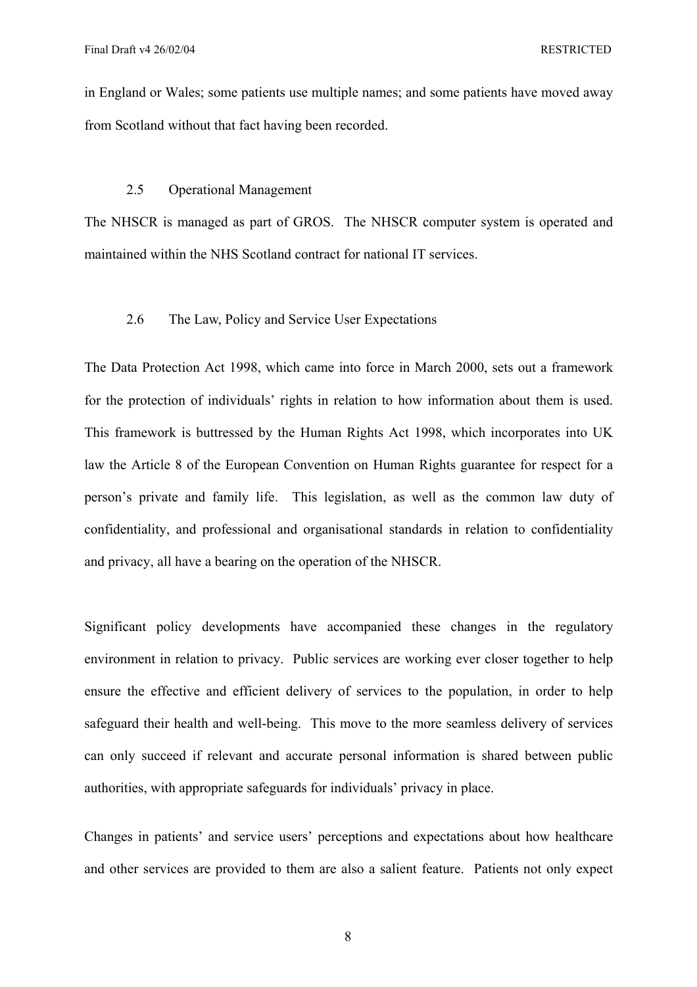in England or Wales; some patients use multiple names; and some patients have moved away from Scotland without that fact having been recorded.

### 2.5 Operational Management

The NHSCR is managed as part of GROS. The NHSCR computer system is operated and maintained within the NHS Scotland contract for national IT services.

# 2.6 The Law, Policy and Service User Expectations

The Data Protection Act 1998, which came into force in March 2000, sets out a framework for the protection of individuals' rights in relation to how information about them is used. This framework is buttressed by the Human Rights Act 1998, which incorporates into UK law the Article 8 of the European Convention on Human Rights guarantee for respect for a person's private and family life. This legislation, as well as the common law duty of confidentiality, and professional and organisational standards in relation to confidentiality and privacy, all have a bearing on the operation of the NHSCR.

Significant policy developments have accompanied these changes in the regulatory environment in relation to privacy. Public services are working ever closer together to help ensure the effective and efficient delivery of services to the population, in order to help safeguard their health and well-being. This move to the more seamless delivery of services can only succeed if relevant and accurate personal information is shared between public authorities, with appropriate safeguards for individuals' privacy in place.

Changes in patients' and service users' perceptions and expectations about how healthcare and other services are provided to them are also a salient feature. Patients not only expect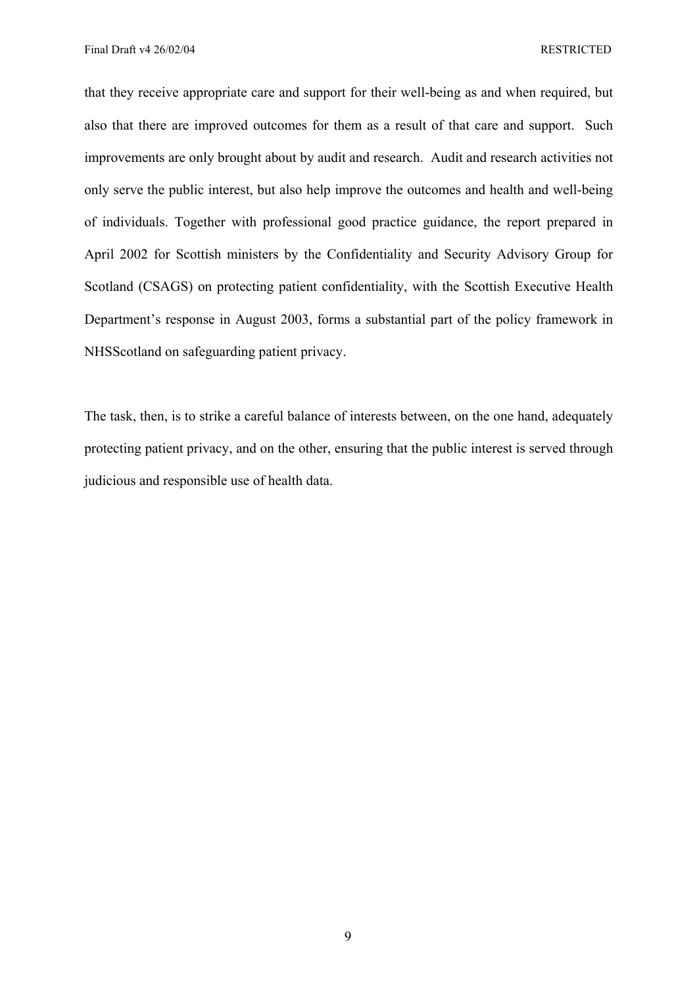Final Draft v4 26/02/04 RESTRICTED

that they receive appropriate care and support for their well-being as and when required, but also that there are improved outcomes for them as a result of that care and support. Such improvements are only brought about by audit and research. Audit and research activities not only serve the public interest, but also help improve the outcomes and health and well-being of individuals. Together with professional good practice guidance, the report prepared in April 2002 for Scottish ministers by the Confidentiality and Security Advisory Group for Scotland (CSAGS) on protecting patient confidentiality, with the Scottish Executive Health Department's response in August 2003, forms a substantial part of the policy framework in NHSScotland on safeguarding patient privacy.

The task, then, is to strike a careful balance of interests between, on the one hand, adequately protecting patient privacy, and on the other, ensuring that the public interest is served through judicious and responsible use of health data.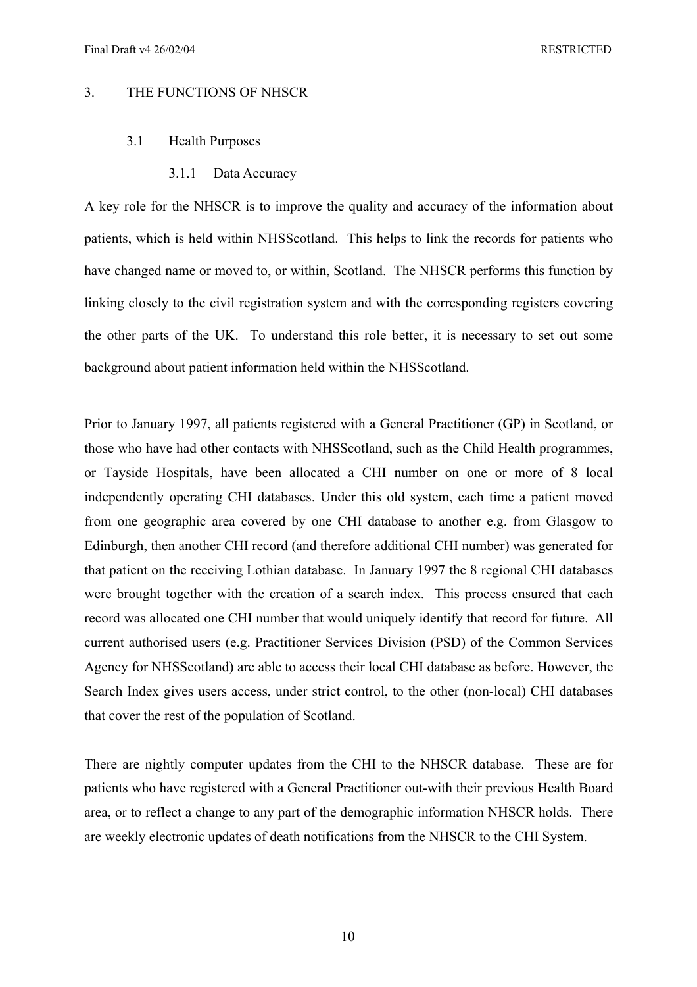## 3. THE FUNCTIONS OF NHSCR

### 3.1 Health Purposes

3.1.1 Data Accuracy

A key role for the NHSCR is to improve the quality and accuracy of the information about patients, which is held within NHSScotland. This helps to link the records for patients who have changed name or moved to, or within, Scotland. The NHSCR performs this function by linking closely to the civil registration system and with the corresponding registers covering the other parts of the UK. To understand this role better, it is necessary to set out some background about patient information held within the NHSScotland.

Prior to January 1997, all patients registered with a General Practitioner (GP) in Scotland, or those who have had other contacts with NHSScotland, such as the Child Health programmes, or Tayside Hospitals, have been allocated a CHI number on one or more of 8 local independently operating CHI databases. Under this old system, each time a patient moved from one geographic area covered by one CHI database to another e.g. from Glasgow to Edinburgh, then another CHI record (and therefore additional CHI number) was generated for that patient on the receiving Lothian database. In January 1997 the 8 regional CHI databases were brought together with the creation of a search index. This process ensured that each record was allocated one CHI number that would uniquely identify that record for future. All current authorised users (e.g. Practitioner Services Division (PSD) of the Common Services Agency for NHSScotland) are able to access their local CHI database as before. However, the Search Index gives users access, under strict control, to the other (non-local) CHI databases that cover the rest of the population of Scotland.

There are nightly computer updates from the CHI to the NHSCR database. These are for patients who have registered with a General Practitioner out-with their previous Health Board area, or to reflect a change to any part of the demographic information NHSCR holds. There are weekly electronic updates of death notifications from the NHSCR to the CHI System.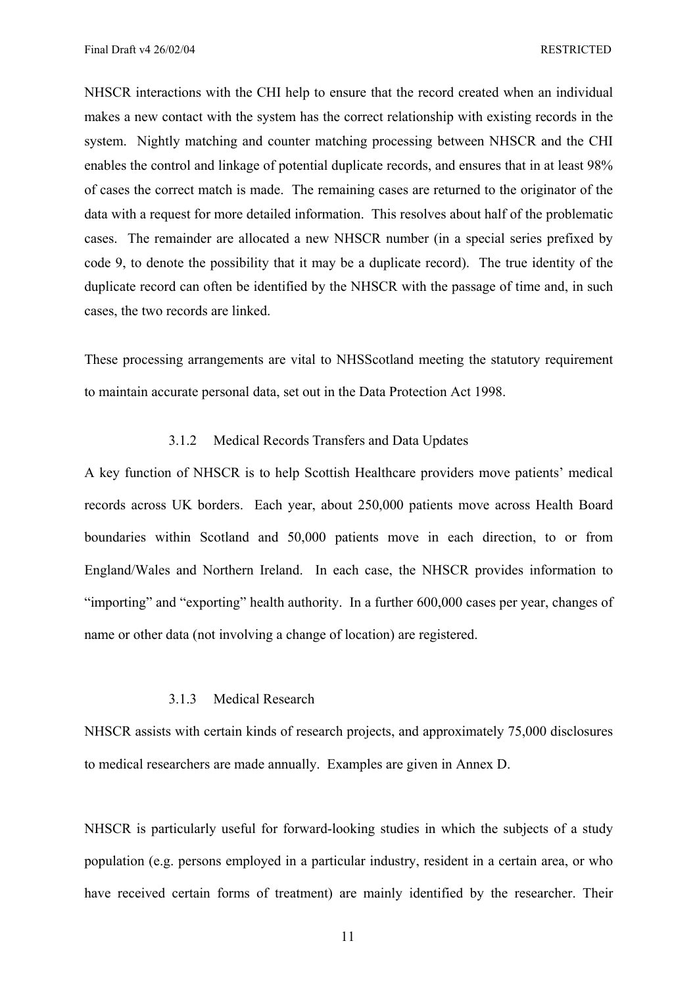NHSCR interactions with the CHI help to ensure that the record created when an individual makes a new contact with the system has the correct relationship with existing records in the system. Nightly matching and counter matching processing between NHSCR and the CHI enables the control and linkage of potential duplicate records, and ensures that in at least 98% of cases the correct match is made. The remaining cases are returned to the originator of the data with a request for more detailed information. This resolves about half of the problematic cases. The remainder are allocated a new NHSCR number (in a special series prefixed by code 9, to denote the possibility that it may be a duplicate record). The true identity of the duplicate record can often be identified by the NHSCR with the passage of time and, in such cases, the two records are linked.

These processing arrangements are vital to NHSScotland meeting the statutory requirement to maintain accurate personal data, set out in the Data Protection Act 1998.

#### 3.1.2 Medical Records Transfers and Data Updates

A key function of NHSCR is to help Scottish Healthcare providers move patients' medical records across UK borders. Each year, about 250,000 patients move across Health Board boundaries within Scotland and 50,000 patients move in each direction, to or from England/Wales and Northern Ireland. In each case, the NHSCR provides information to "importing" and "exporting" health authority. In a further 600,000 cases per year, changes of name or other data (not involving a change of location) are registered.

# 3.1.3 Medical Research

NHSCR assists with certain kinds of research projects, and approximately 75,000 disclosures to medical researchers are made annually. Examples are given in Annex D.

NHSCR is particularly useful for forward-looking studies in which the subjects of a study population (e.g. persons employed in a particular industry, resident in a certain area, or who have received certain forms of treatment) are mainly identified by the researcher. Their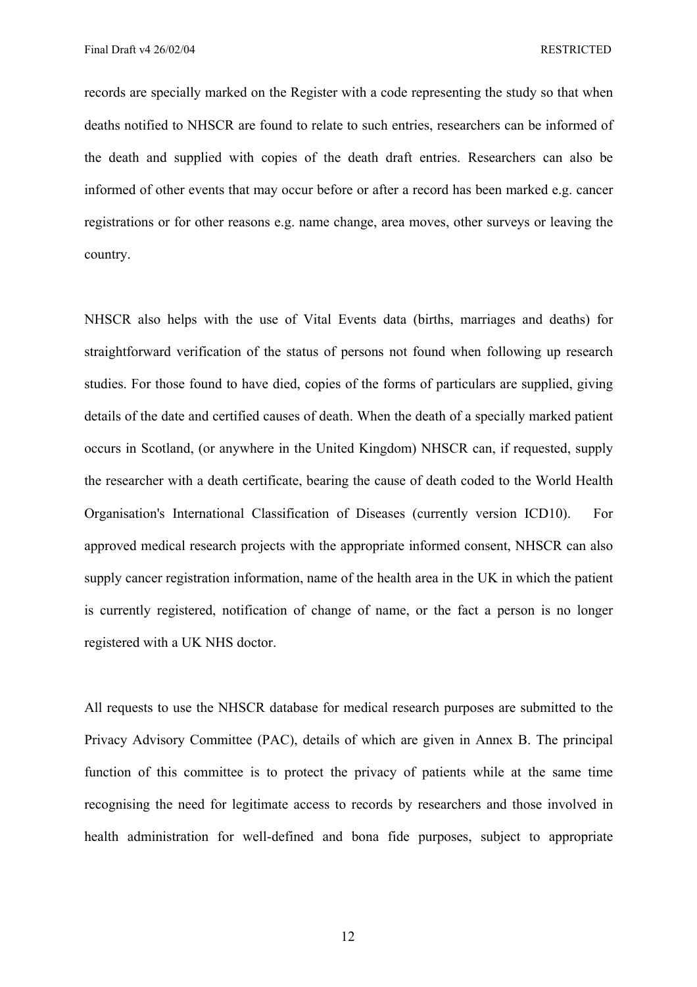records are specially marked on the Register with a code representing the study so that when deaths notified to NHSCR are found to relate to such entries, researchers can be informed of the death and supplied with copies of the death draft entries. Researchers can also be informed of other events that may occur before or after a record has been marked e.g. cancer registrations or for other reasons e.g. name change, area moves, other surveys or leaving the country.

NHSCR also helps with the use of Vital Events data (births, marriages and deaths) for straightforward verification of the status of persons not found when following up research studies. For those found to have died, copies of the forms of particulars are supplied, giving details of the date and certified causes of death. When the death of a specially marked patient occurs in Scotland, (or anywhere in the United Kingdom) NHSCR can, if requested, supply the researcher with a death certificate, bearing the cause of death coded to the World Health Organisation's International Classification of Diseases (currently version ICD10). For approved medical research projects with the appropriate informed consent, NHSCR can also supply cancer registration information, name of the health area in the UK in which the patient is currently registered, notification of change of name, or the fact a person is no longer registered with a UK NHS doctor.

All requests to use the NHSCR database for medical research purposes are submitted to the Privacy Advisory Committee (PAC), details of which are given in Annex B. The principal function of this committee is to protect the privacy of patients while at the same time recognising the need for legitimate access to records by researchers and those involved in health administration for well-defined and bona fide purposes, subject to appropriate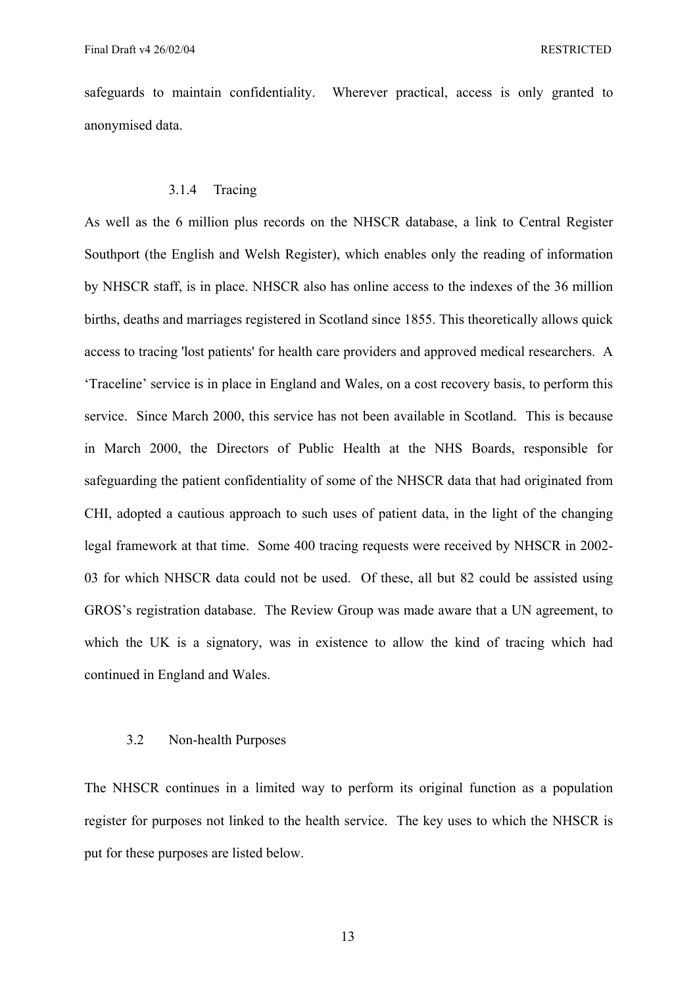safeguards to maintain confidentiality. Wherever practical, access is only granted to anonymised data.

# 3.1.4 Tracing

As well as the 6 million plus records on the NHSCR database, a link to Central Register Southport (the English and Welsh Register), which enables only the reading of information by NHSCR staff, is in place. NHSCR also has online access to the indexes of the 36 million births, deaths and marriages registered in Scotland since 1855. This theoretically allows quick access to tracing 'lost patients' for health care providers and approved medical researchers. A 'Traceline' service is in place in England and Wales, on a cost recovery basis, to perform this service. Since March 2000, this service has not been available in Scotland. This is because in March 2000, the Directors of Public Health at the NHS Boards, responsible for safeguarding the patient confidentiality of some of the NHSCR data that had originated from CHI, adopted a cautious approach to such uses of patient data, in the light of the changing legal framework at that time. Some 400 tracing requests were received by NHSCR in 2002- 03 for which NHSCR data could not be used. Of these, all but 82 could be assisted using GROS's registration database. The Review Group was made aware that a UN agreement, to which the UK is a signatory, was in existence to allow the kind of tracing which had continued in England and Wales.

#### 3.2 Non-health Purposes

The NHSCR continues in a limited way to perform its original function as a population register for purposes not linked to the health service. The key uses to which the NHSCR is put for these purposes are listed below.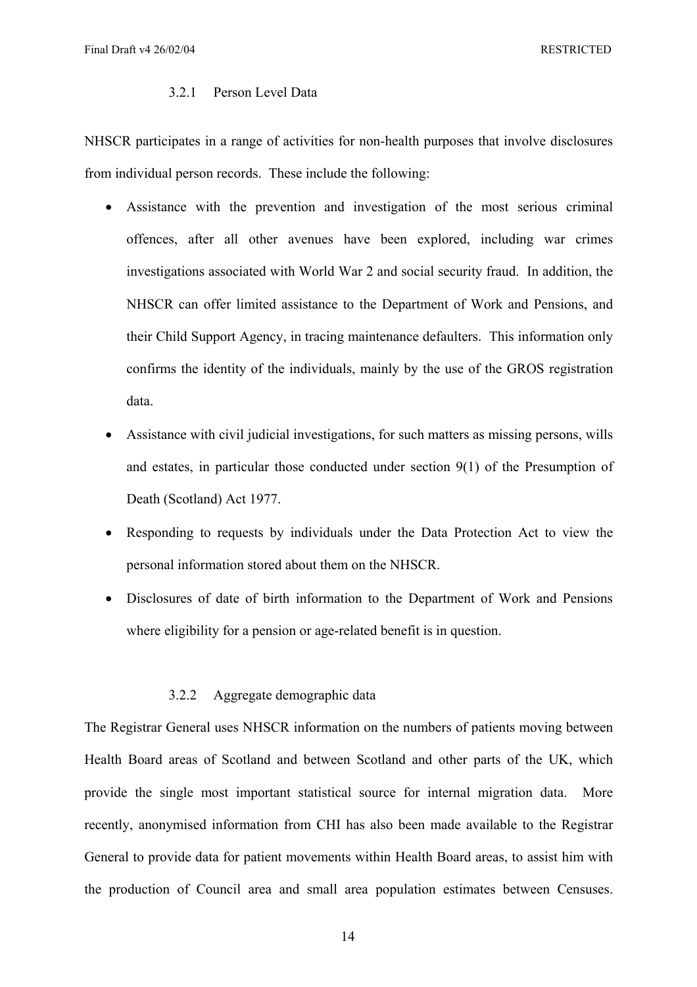#### 3.2.1 Person Level Data

NHSCR participates in a range of activities for non-health purposes that involve disclosures from individual person records. These include the following:

- Assistance with the prevention and investigation of the most serious criminal offences, after all other avenues have been explored, including war crimes investigations associated with World War 2 and social security fraud. In addition, the NHSCR can offer limited assistance to the Department of Work and Pensions, and their Child Support Agency, in tracing maintenance defaulters. This information only confirms the identity of the individuals, mainly by the use of the GROS registration data.
- Assistance with civil judicial investigations, for such matters as missing persons, wills and estates, in particular those conducted under section 9(1) of the Presumption of Death (Scotland) Act 1977.
- Responding to requests by individuals under the Data Protection Act to view the personal information stored about them on the NHSCR.
- Disclosures of date of birth information to the Department of Work and Pensions where eligibility for a pension or age-related benefit is in question.

#### 3.2.2 Aggregate demographic data

The Registrar General uses NHSCR information on the numbers of patients moving between Health Board areas of Scotland and between Scotland and other parts of the UK, which provide the single most important statistical source for internal migration data. More recently, anonymised information from CHI has also been made available to the Registrar General to provide data for patient movements within Health Board areas, to assist him with the production of Council area and small area population estimates between Censuses.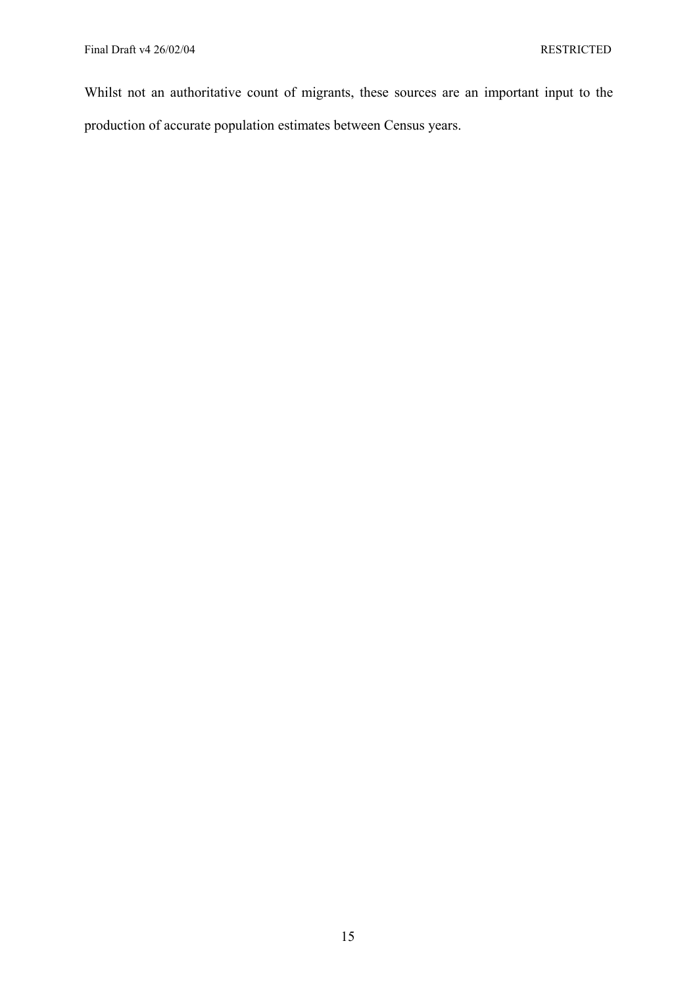Whilst not an authoritative count of migrants, these sources are an important input to the production of accurate population estimates between Census years.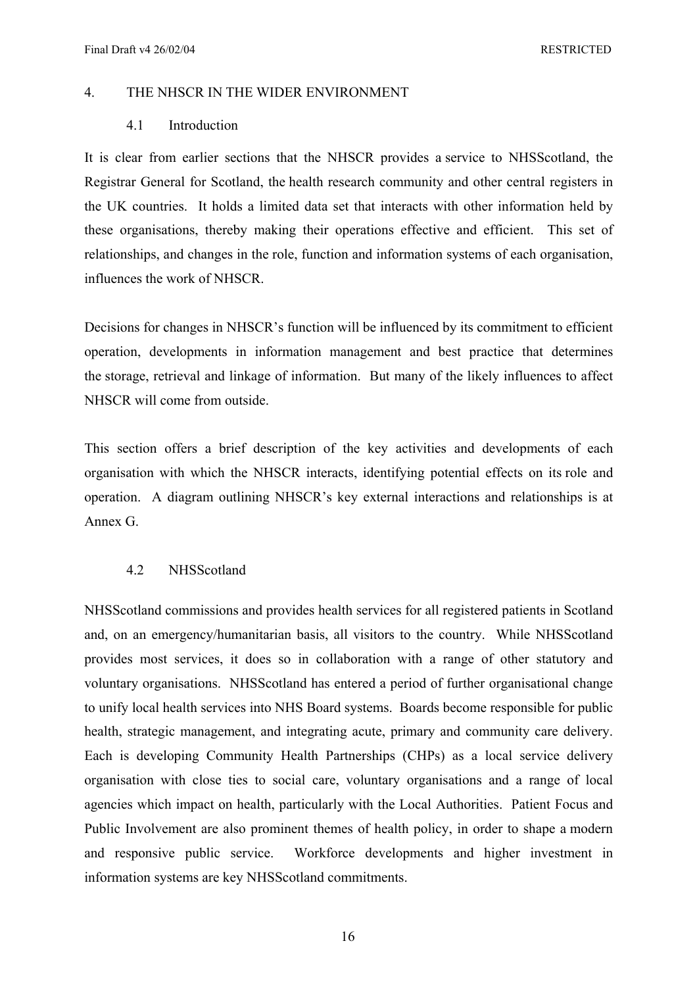## 4. THE NHSCR IN THE WIDER ENVIRONMENT

# 4.1 Introduction

It is clear from earlier sections that the NHSCR provides a service to NHSScotland, the Registrar General for Scotland, the health research community and other central registers in the UK countries. It holds a limited data set that interacts with other information held by these organisations, thereby making their operations effective and efficient. This set of relationships, and changes in the role, function and information systems of each organisation, influences the work of NHSCR.

Decisions for changes in NHSCR's function will be influenced by its commitment to efficient operation, developments in information management and best practice that determines the storage, retrieval and linkage of information. But many of the likely influences to affect NHSCR will come from outside.

This section offers a brief description of the key activities and developments of each organisation with which the NHSCR interacts, identifying potential effects on its role and operation. A diagram outlining NHSCR's key external interactions and relationships is at Annex G.

# 4.2 NHSScotland

NHSScotland commissions and provides health services for all registered patients in Scotland and, on an emergency/humanitarian basis, all visitors to the country. While NHSScotland provides most services, it does so in collaboration with a range of other statutory and voluntary organisations. NHSScotland has entered a period of further organisational change to unify local health services into NHS Board systems. Boards become responsible for public health, strategic management, and integrating acute, primary and community care delivery. Each is developing Community Health Partnerships (CHPs) as a local service delivery organisation with close ties to social care, voluntary organisations and a range of local agencies which impact on health, particularly with the Local Authorities. Patient Focus and Public Involvement are also prominent themes of health policy, in order to shape a modern and responsive public service. Workforce developments and higher investment in information systems are key NHSScotland commitments.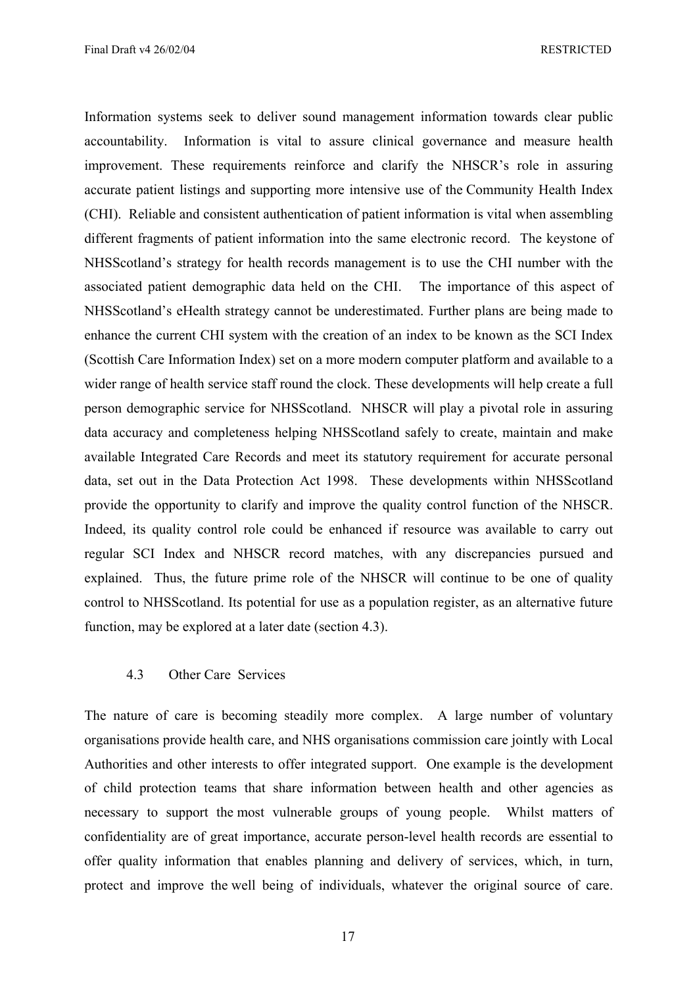Information systems seek to deliver sound management information towards clear public accountability. Information is vital to assure clinical governance and measure health improvement. These requirements reinforce and clarify the NHSCR's role in assuring accurate patient listings and supporting more intensive use of the Community Health Index (CHI). Reliable and consistent authentication of patient information is vital when assembling different fragments of patient information into the same electronic record. The keystone of NHSScotland's strategy for health records management is to use the CHI number with the associated patient demographic data held on the CHI. The importance of this aspect of NHSScotland's eHealth strategy cannot be underestimated. Further plans are being made to enhance the current CHI system with the creation of an index to be known as the SCI Index (Scottish Care Information Index) set on a more modern computer platform and available to a wider range of health service staff round the clock. These developments will help create a full person demographic service for NHSScotland. NHSCR will play a pivotal role in assuring data accuracy and completeness helping NHSScotland safely to create, maintain and make available Integrated Care Records and meet its statutory requirement for accurate personal data, set out in the Data Protection Act 1998. These developments within NHSScotland provide the opportunity to clarify and improve the quality control function of the NHSCR. Indeed, its quality control role could be enhanced if resource was available to carry out regular SCI Index and NHSCR record matches, with any discrepancies pursued and explained. Thus, the future prime role of the NHSCR will continue to be one of quality control to NHSScotland. Its potential for use as a population register, as an alternative future function, may be explored at a later date (section 4.3).

# 4.3 Other Care Services

The nature of care is becoming steadily more complex. A large number of voluntary organisations provide health care, and NHS organisations commission care jointly with Local Authorities and other interests to offer integrated support. One example is the development of child protection teams that share information between health and other agencies as necessary to support the most vulnerable groups of young people. Whilst matters of confidentiality are of great importance, accurate person-level health records are essential to offer quality information that enables planning and delivery of services, which, in turn, protect and improve the well being of individuals, whatever the original source of care.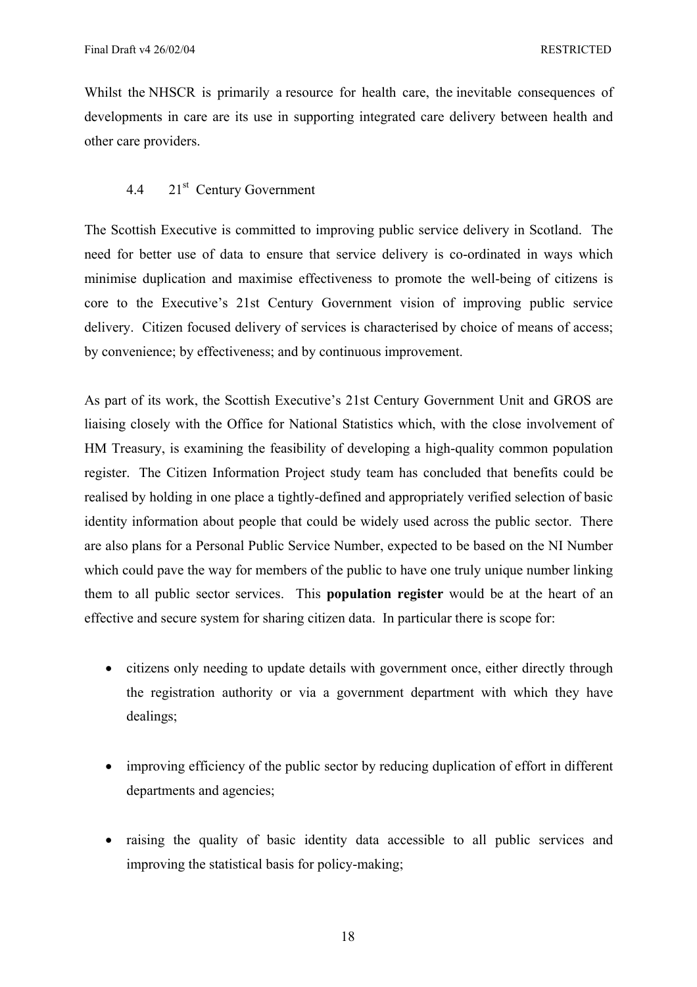Whilst the NHSCR is primarily a resource for health care, the inevitable consequences of developments in care are its use in supporting integrated care delivery between health and other care providers.

# 4.4 21st Century Government

The Scottish Executive is committed to improving public service delivery in Scotland. The need for better use of data to ensure that service delivery is co-ordinated in ways which minimise duplication and maximise effectiveness to promote the well-being of citizens is core to the Executive's 21st Century Government vision of improving public service delivery. Citizen focused delivery of services is characterised by choice of means of access; by convenience; by effectiveness; and by continuous improvement.

As part of its work, the Scottish Executive's 21st Century Government Unit and GROS are liaising closely with the Office for National Statistics which, with the close involvement of HM Treasury, is examining the feasibility of developing a high-quality common population register. The Citizen Information Project study team has concluded that benefits could be realised by holding in one place a tightly-defined and appropriately verified selection of basic identity information about people that could be widely used across the public sector. There are also plans for a Personal Public Service Number, expected to be based on the NI Number which could pave the way for members of the public to have one truly unique number linking them to all public sector services. This **population register** would be at the heart of an effective and secure system for sharing citizen data. In particular there is scope for:

- citizens only needing to update details with government once, either directly through the registration authority or via a government department with which they have dealings;
- improving efficiency of the public sector by reducing duplication of effort in different departments and agencies;
- raising the quality of basic identity data accessible to all public services and improving the statistical basis for policy-making;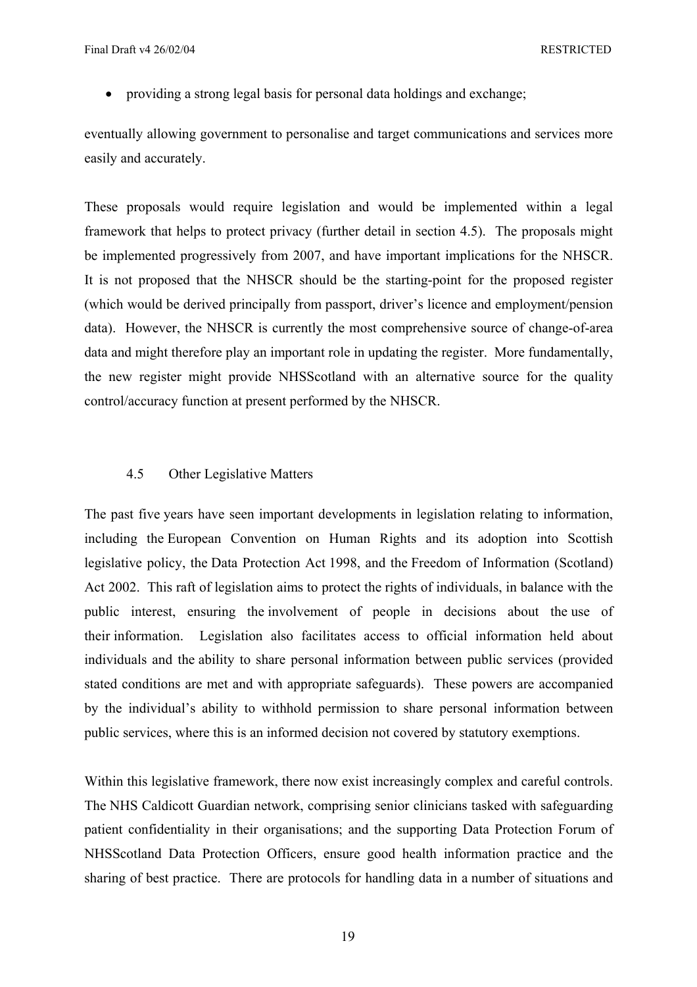• providing a strong legal basis for personal data holdings and exchange;

eventually allowing government to personalise and target communications and services more easily and accurately.

These proposals would require legislation and would be implemented within a legal framework that helps to protect privacy (further detail in section 4.5). The proposals might be implemented progressively from 2007, and have important implications for the NHSCR. It is not proposed that the NHSCR should be the starting-point for the proposed register (which would be derived principally from passport, driver's licence and employment/pension data). However, the NHSCR is currently the most comprehensive source of change-of-area data and might therefore play an important role in updating the register. More fundamentally, the new register might provide NHSScotland with an alternative source for the quality control/accuracy function at present performed by the NHSCR.

# 4.5 Other Legislative Matters

The past five years have seen important developments in legislation relating to information, including the European Convention on Human Rights and its adoption into Scottish legislative policy, the Data Protection Act 1998, and the Freedom of Information (Scotland) Act 2002. This raft of legislation aims to protect the rights of individuals, in balance with the public interest, ensuring the involvement of people in decisions about the use of their information. Legislation also facilitates access to official information held about individuals and the ability to share personal information between public services (provided stated conditions are met and with appropriate safeguards). These powers are accompanied by the individual's ability to withhold permission to share personal information between public services, where this is an informed decision not covered by statutory exemptions.

Within this legislative framework, there now exist increasingly complex and careful controls. The NHS Caldicott Guardian network, comprising senior clinicians tasked with safeguarding patient confidentiality in their organisations; and the supporting Data Protection Forum of NHSScotland Data Protection Officers, ensure good health information practice and the sharing of best practice. There are protocols for handling data in a number of situations and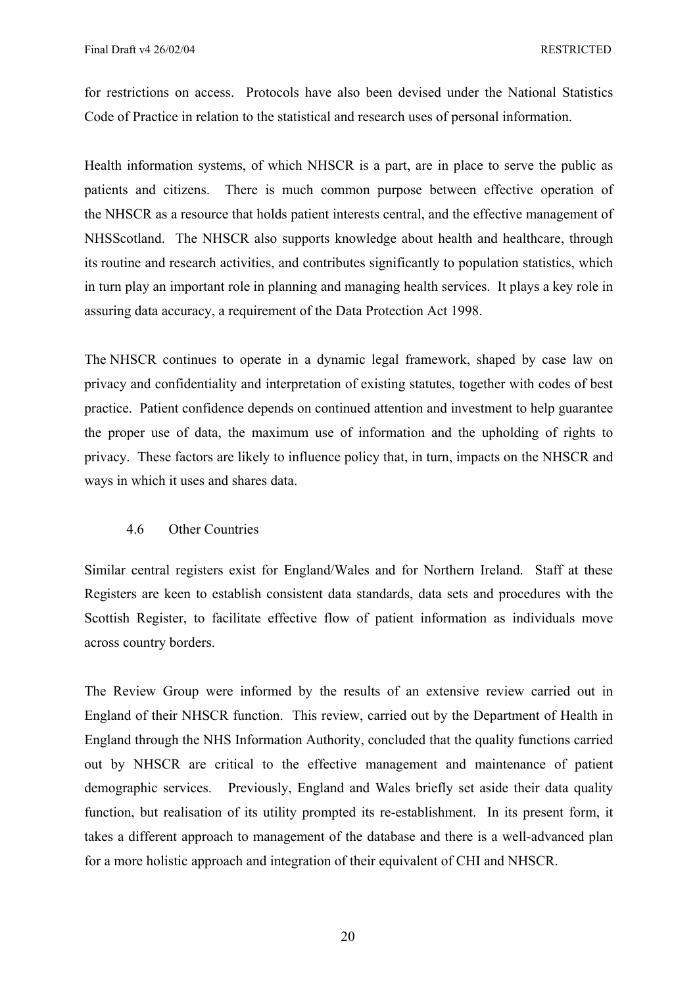for restrictions on access. Protocols have also been devised under the National Statistics Code of Practice in relation to the statistical and research uses of personal information.

Health information systems, of which NHSCR is a part, are in place to serve the public as patients and citizens. There is much common purpose between effective operation of the NHSCR as a resource that holds patient interests central, and the effective management of NHSScotland. The NHSCR also supports knowledge about health and healthcare, through its routine and research activities, and contributes significantly to population statistics, which in turn play an important role in planning and managing health services. It plays a key role in assuring data accuracy, a requirement of the Data Protection Act 1998.

The NHSCR continues to operate in a dynamic legal framework, shaped by case law on privacy and confidentiality and interpretation of existing statutes, together with codes of best practice. Patient confidence depends on continued attention and investment to help guarantee the proper use of data, the maximum use of information and the upholding of rights to privacy. These factors are likely to influence policy that, in turn, impacts on the NHSCR and ways in which it uses and shares data.

# 4.6 Other Countries

Similar central registers exist for England/Wales and for Northern Ireland. Staff at these Registers are keen to establish consistent data standards, data sets and procedures with the Scottish Register, to facilitate effective flow of patient information as individuals move across country borders.

The Review Group were informed by the results of an extensive review carried out in England of their NHSCR function. This review, carried out by the Department of Health in England through the NHS Information Authority, concluded that the quality functions carried out by NHSCR are critical to the effective management and maintenance of patient demographic services. Previously, England and Wales briefly set aside their data quality function, but realisation of its utility prompted its re-establishment. In its present form, it takes a different approach to management of the database and there is a well-advanced plan for a more holistic approach and integration of their equivalent of CHI and NHSCR.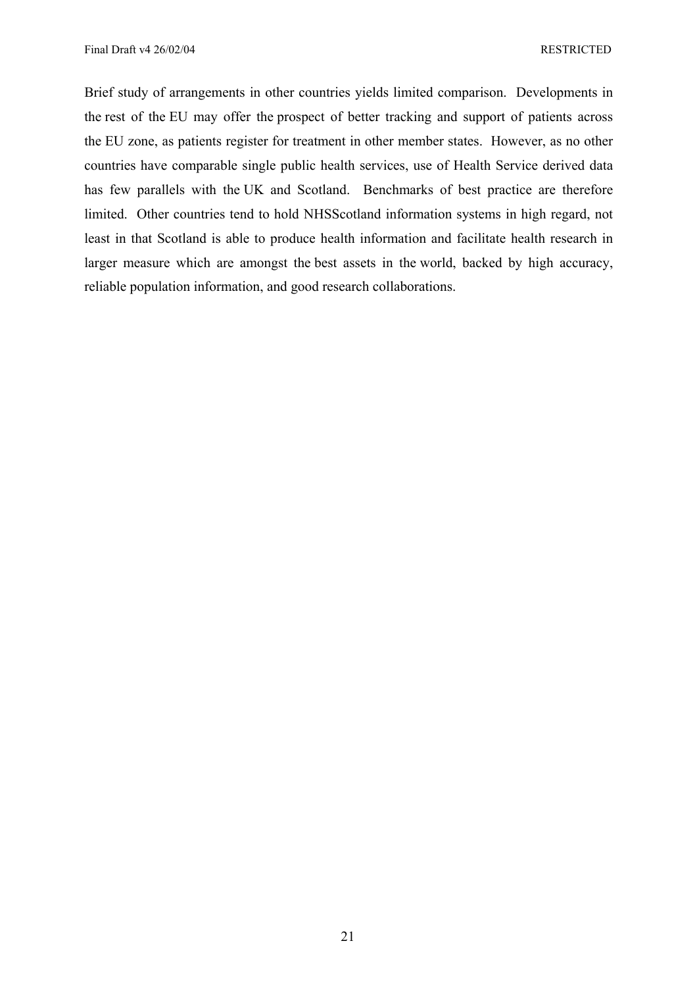Brief study of arrangements in other countries yields limited comparison. Developments in the rest of the EU may offer the prospect of better tracking and support of patients across the EU zone, as patients register for treatment in other member states. However, as no other countries have comparable single public health services, use of Health Service derived data has few parallels with the UK and Scotland. Benchmarks of best practice are therefore limited. Other countries tend to hold NHSScotland information systems in high regard, not least in that Scotland is able to produce health information and facilitate health research in larger measure which are amongst the best assets in the world, backed by high accuracy, reliable population information, and good research collaborations.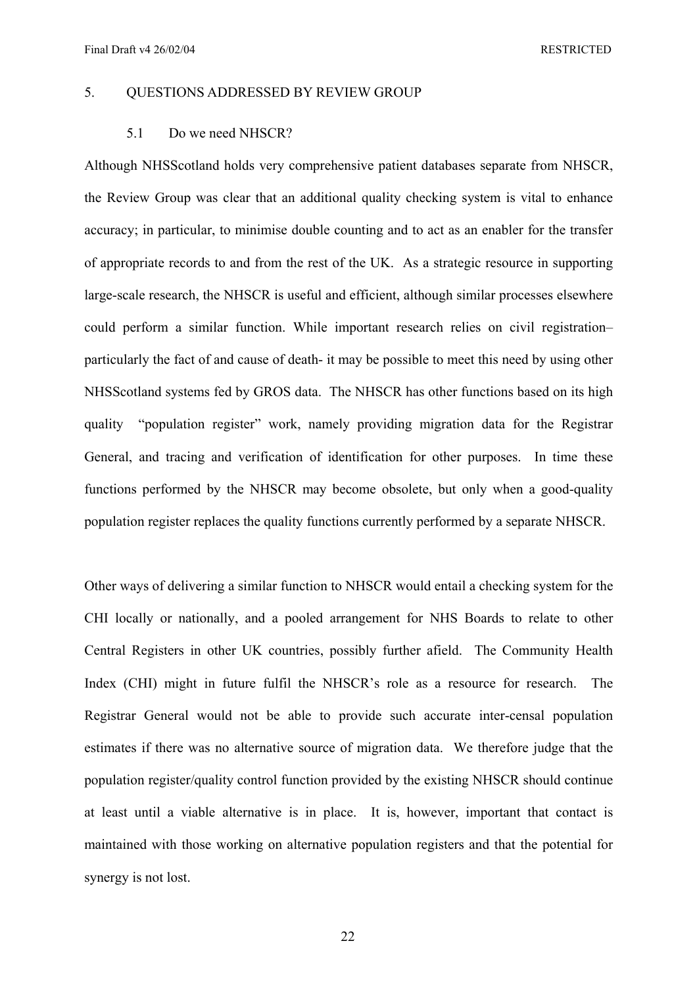Final Draft v4 26/02/04 RESTRICTED

# 5. QUESTIONS ADDRESSED BY REVIEW GROUP

#### 5.1 Do we need NHSCR?

Although NHSScotland holds very comprehensive patient databases separate from NHSCR, the Review Group was clear that an additional quality checking system is vital to enhance accuracy; in particular, to minimise double counting and to act as an enabler for the transfer of appropriate records to and from the rest of the UK. As a strategic resource in supporting large-scale research, the NHSCR is useful and efficient, although similar processes elsewhere could perform a similar function. While important research relies on civil registration– particularly the fact of and cause of death- it may be possible to meet this need by using other NHSScotland systems fed by GROS data. The NHSCR has other functions based on its high quality "population register" work, namely providing migration data for the Registrar General, and tracing and verification of identification for other purposes. In time these functions performed by the NHSCR may become obsolete, but only when a good-quality population register replaces the quality functions currently performed by a separate NHSCR.

Other ways of delivering a similar function to NHSCR would entail a checking system for the CHI locally or nationally, and a pooled arrangement for NHS Boards to relate to other Central Registers in other UK countries, possibly further afield. The Community Health Index (CHI) might in future fulfil the NHSCR's role as a resource for research. The Registrar General would not be able to provide such accurate inter-censal population estimates if there was no alternative source of migration data. We therefore judge that the population register/quality control function provided by the existing NHSCR should continue at least until a viable alternative is in place. It is, however, important that contact is maintained with those working on alternative population registers and that the potential for synergy is not lost.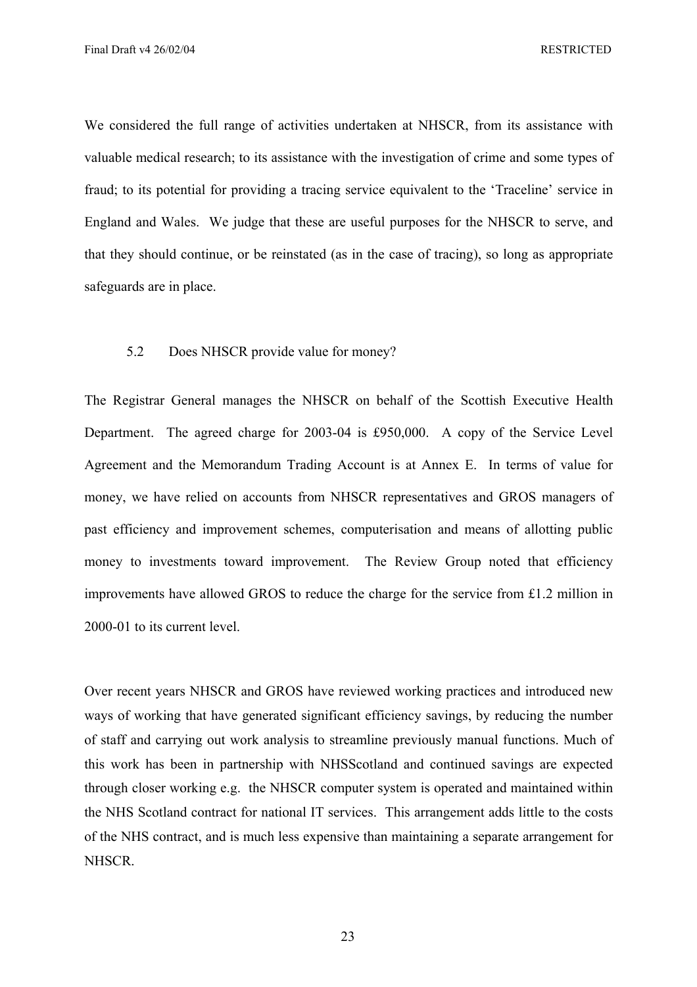We considered the full range of activities undertaken at NHSCR, from its assistance with valuable medical research; to its assistance with the investigation of crime and some types of fraud; to its potential for providing a tracing service equivalent to the 'Traceline' service in England and Wales. We judge that these are useful purposes for the NHSCR to serve, and that they should continue, or be reinstated (as in the case of tracing), so long as appropriate safeguards are in place.

# 5.2 Does NHSCR provide value for money?

The Registrar General manages the NHSCR on behalf of the Scottish Executive Health Department. The agreed charge for 2003-04 is £950,000. A copy of the Service Level Agreement and the Memorandum Trading Account is at Annex E. In terms of value for money, we have relied on accounts from NHSCR representatives and GROS managers of past efficiency and improvement schemes, computerisation and means of allotting public money to investments toward improvement. The Review Group noted that efficiency improvements have allowed GROS to reduce the charge for the service from £1.2 million in 2000-01 to its current level.

Over recent years NHSCR and GROS have reviewed working practices and introduced new ways of working that have generated significant efficiency savings, by reducing the number of staff and carrying out work analysis to streamline previously manual functions. Much of this work has been in partnership with NHSScotland and continued savings are expected through closer working e.g. the NHSCR computer system is operated and maintained within the NHS Scotland contract for national IT services. This arrangement adds little to the costs of the NHS contract, and is much less expensive than maintaining a separate arrangement for NHSCR.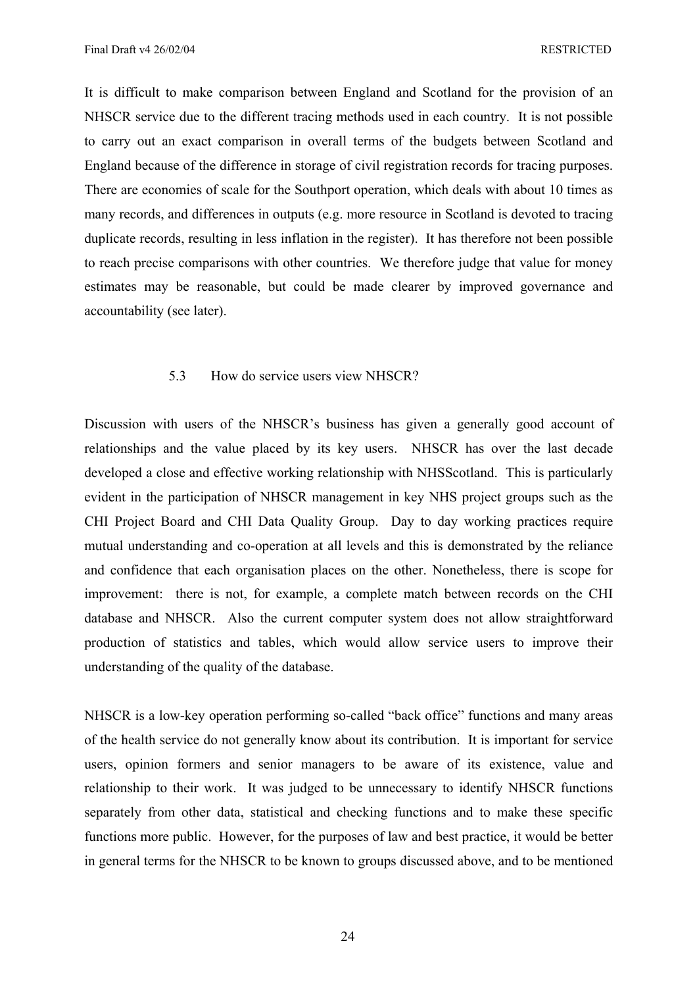Final Draft v4 26/02/04 RESTRICTED

It is difficult to make comparison between England and Scotland for the provision of an NHSCR service due to the different tracing methods used in each country. It is not possible to carry out an exact comparison in overall terms of the budgets between Scotland and England because of the difference in storage of civil registration records for tracing purposes. There are economies of scale for the Southport operation, which deals with about 10 times as many records, and differences in outputs (e.g. more resource in Scotland is devoted to tracing duplicate records, resulting in less inflation in the register). It has therefore not been possible to reach precise comparisons with other countries. We therefore judge that value for money estimates may be reasonable, but could be made clearer by improved governance and accountability (see later).

### 5.3 How do service users view NHSCR?

Discussion with users of the NHSCR's business has given a generally good account of relationships and the value placed by its key users. NHSCR has over the last decade developed a close and effective working relationship with NHSScotland. This is particularly evident in the participation of NHSCR management in key NHS project groups such as the CHI Project Board and CHI Data Quality Group. Day to day working practices require mutual understanding and co-operation at all levels and this is demonstrated by the reliance and confidence that each organisation places on the other. Nonetheless, there is scope for improvement: there is not, for example, a complete match between records on the CHI database and NHSCR. Also the current computer system does not allow straightforward production of statistics and tables, which would allow service users to improve their understanding of the quality of the database.

NHSCR is a low-key operation performing so-called "back office" functions and many areas of the health service do not generally know about its contribution. It is important for service users, opinion formers and senior managers to be aware of its existence, value and relationship to their work. It was judged to be unnecessary to identify NHSCR functions separately from other data, statistical and checking functions and to make these specific functions more public. However, for the purposes of law and best practice, it would be better in general terms for the NHSCR to be known to groups discussed above, and to be mentioned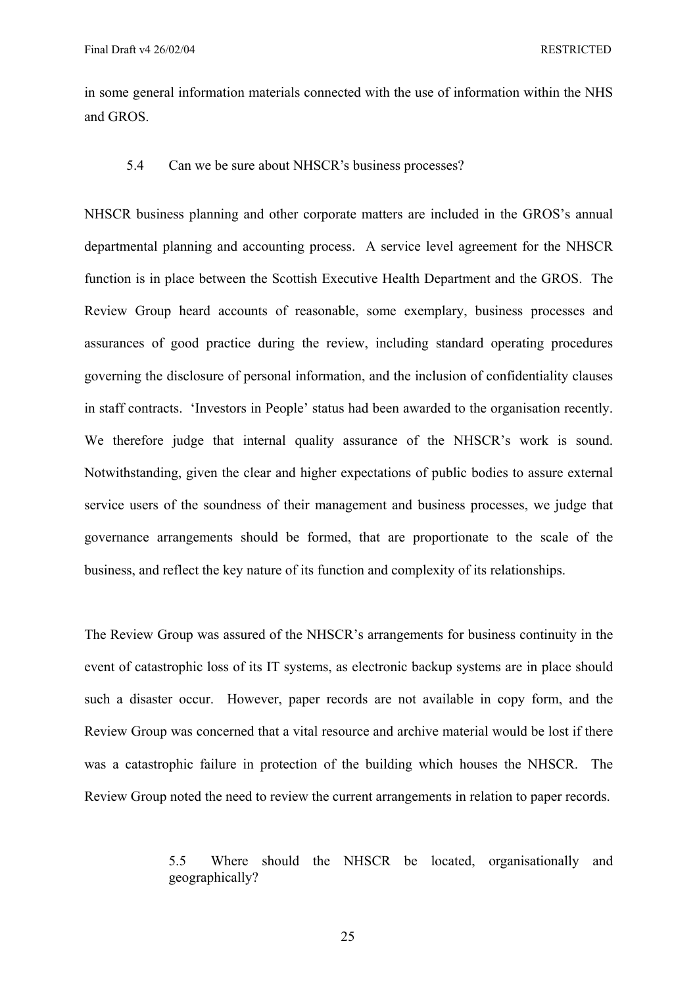in some general information materials connected with the use of information within the NHS and GROS.

5.4 Can we be sure about NHSCR's business processes?

NHSCR business planning and other corporate matters are included in the GROS's annual departmental planning and accounting process. A service level agreement for the NHSCR function is in place between the Scottish Executive Health Department and the GROS. The Review Group heard accounts of reasonable, some exemplary, business processes and assurances of good practice during the review, including standard operating procedures governing the disclosure of personal information, and the inclusion of confidentiality clauses in staff contracts. 'Investors in People' status had been awarded to the organisation recently. We therefore judge that internal quality assurance of the NHSCR's work is sound. Notwithstanding, given the clear and higher expectations of public bodies to assure external service users of the soundness of their management and business processes, we judge that governance arrangements should be formed, that are proportionate to the scale of the business, and reflect the key nature of its function and complexity of its relationships.

The Review Group was assured of the NHSCR's arrangements for business continuity in the event of catastrophic loss of its IT systems, as electronic backup systems are in place should such a disaster occur. However, paper records are not available in copy form, and the Review Group was concerned that a vital resource and archive material would be lost if there was a catastrophic failure in protection of the building which houses the NHSCR. The Review Group noted the need to review the current arrangements in relation to paper records.

> 5.5 Where should the NHSCR be located, organisationally and geographically?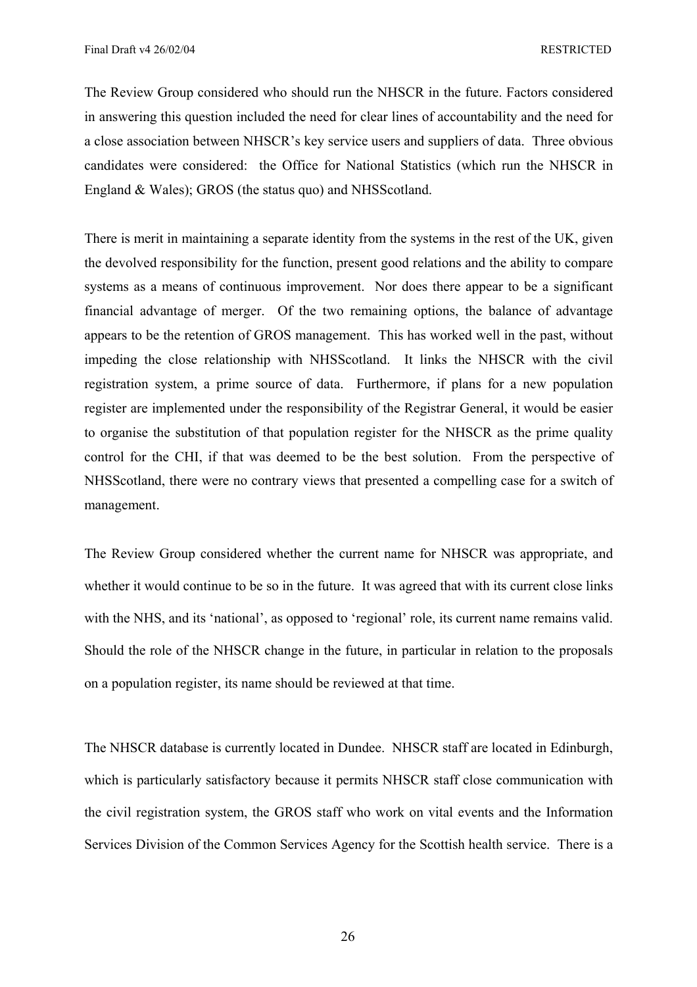The Review Group considered who should run the NHSCR in the future. Factors considered in answering this question included the need for clear lines of accountability and the need for a close association between NHSCR's key service users and suppliers of data. Three obvious candidates were considered: the Office for National Statistics (which run the NHSCR in England & Wales); GROS (the status quo) and NHSScotland.

There is merit in maintaining a separate identity from the systems in the rest of the UK, given the devolved responsibility for the function, present good relations and the ability to compare systems as a means of continuous improvement. Nor does there appear to be a significant financial advantage of merger. Of the two remaining options, the balance of advantage appears to be the retention of GROS management. This has worked well in the past, without impeding the close relationship with NHSScotland. It links the NHSCR with the civil registration system, a prime source of data. Furthermore, if plans for a new population register are implemented under the responsibility of the Registrar General, it would be easier to organise the substitution of that population register for the NHSCR as the prime quality control for the CHI, if that was deemed to be the best solution. From the perspective of NHSScotland, there were no contrary views that presented a compelling case for a switch of management.

The Review Group considered whether the current name for NHSCR was appropriate, and whether it would continue to be so in the future. It was agreed that with its current close links with the NHS, and its 'national', as opposed to 'regional' role, its current name remains valid. Should the role of the NHSCR change in the future, in particular in relation to the proposals on a population register, its name should be reviewed at that time.

The NHSCR database is currently located in Dundee. NHSCR staff are located in Edinburgh, which is particularly satisfactory because it permits NHSCR staff close communication with the civil registration system, the GROS staff who work on vital events and the Information Services Division of the Common Services Agency for the Scottish health service. There is a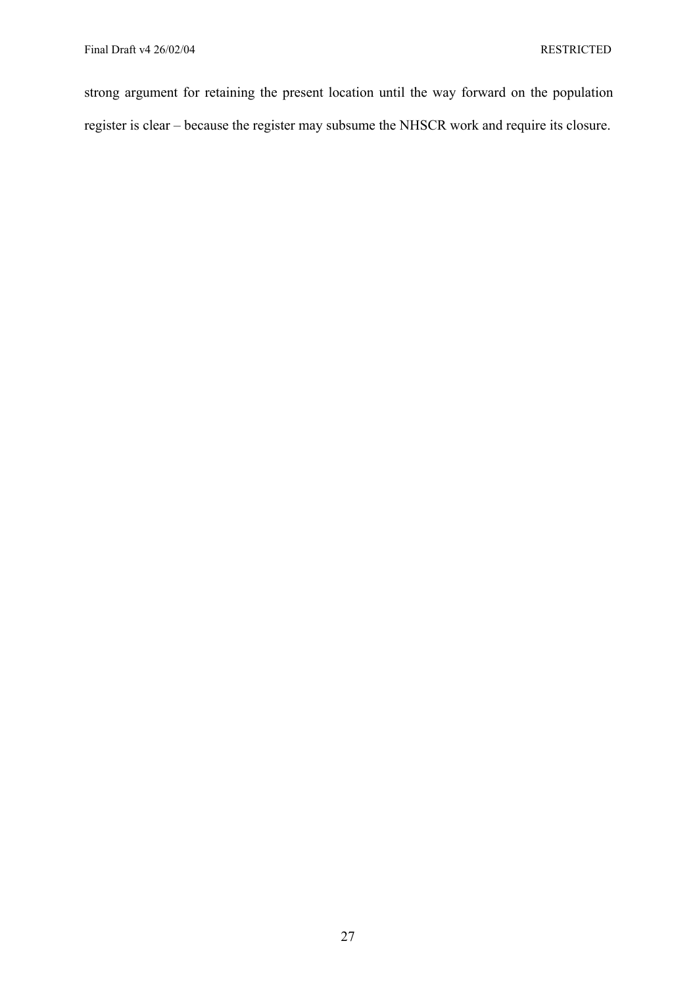strong argument for retaining the present location until the way forward on the population register is clear – because the register may subsume the NHSCR work and require its closure.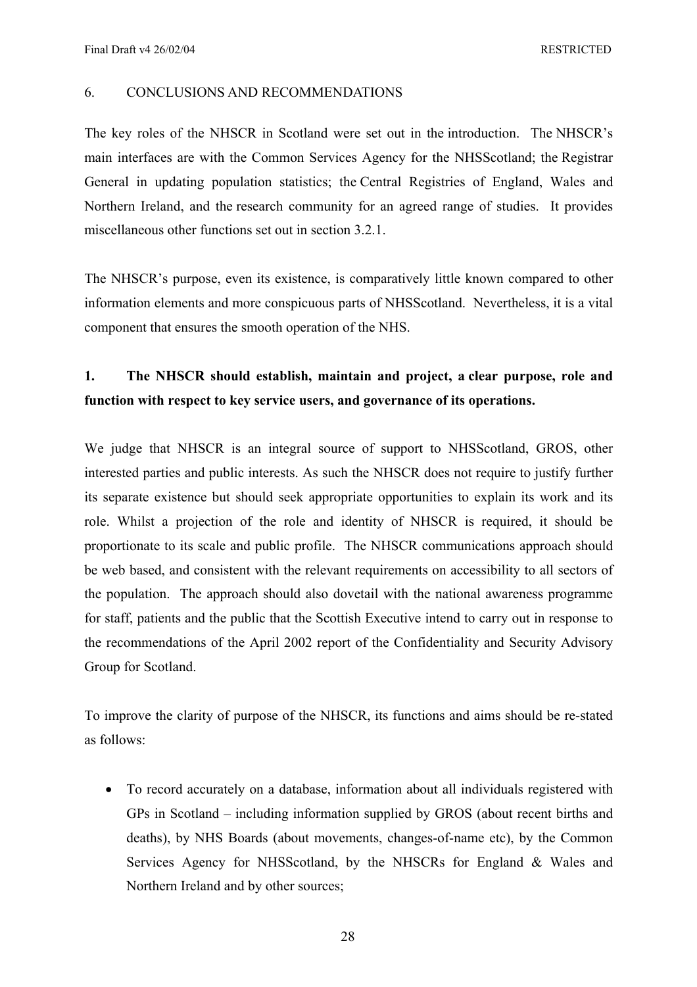# 6. CONCLUSIONS AND RECOMMENDATIONS

The key roles of the NHSCR in Scotland were set out in the introduction. The NHSCR's main interfaces are with the Common Services Agency for the NHSScotland; the Registrar General in updating population statistics; the Central Registries of England, Wales and Northern Ireland, and the research community for an agreed range of studies. It provides miscellaneous other functions set out in section 3.2.1.

The NHSCR's purpose, even its existence, is comparatively little known compared to other information elements and more conspicuous parts of NHSScotland. Nevertheless, it is a vital component that ensures the smooth operation of the NHS.

# **1. The NHSCR should establish, maintain and project, a clear purpose, role and function with respect to key service users, and governance of its operations.**

We judge that NHSCR is an integral source of support to NHSScotland, GROS, other interested parties and public interests. As such the NHSCR does not require to justify further its separate existence but should seek appropriate opportunities to explain its work and its role. Whilst a projection of the role and identity of NHSCR is required, it should be proportionate to its scale and public profile. The NHSCR communications approach should be web based, and consistent with the relevant requirements on accessibility to all sectors of the population. The approach should also dovetail with the national awareness programme for staff, patients and the public that the Scottish Executive intend to carry out in response to the recommendations of the April 2002 report of the Confidentiality and Security Advisory Group for Scotland.

To improve the clarity of purpose of the NHSCR, its functions and aims should be re-stated as follows:

• To record accurately on a database, information about all individuals registered with GPs in Scotland – including information supplied by GROS (about recent births and deaths), by NHS Boards (about movements, changes-of-name etc), by the Common Services Agency for NHSScotland, by the NHSCRs for England & Wales and Northern Ireland and by other sources;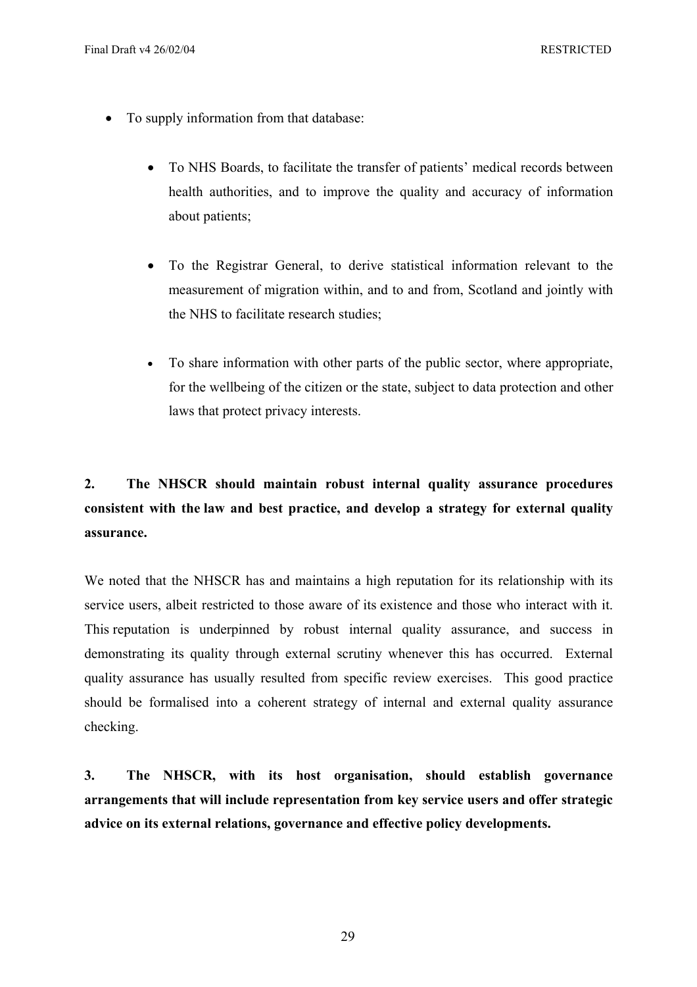- To supply information from that database:
	- To NHS Boards, to facilitate the transfer of patients' medical records between health authorities, and to improve the quality and accuracy of information about patients;
	- To the Registrar General, to derive statistical information relevant to the measurement of migration within, and to and from, Scotland and jointly with the NHS to facilitate research studies;
	- To share information with other parts of the public sector, where appropriate, for the wellbeing of the citizen or the state, subject to data protection and other laws that protect privacy interests.

# **2. The NHSCR should maintain robust internal quality assurance procedures consistent with the law and best practice, and develop a strategy for external quality assurance.**

We noted that the NHSCR has and maintains a high reputation for its relationship with its service users, albeit restricted to those aware of its existence and those who interact with it. This reputation is underpinned by robust internal quality assurance, and success in demonstrating its quality through external scrutiny whenever this has occurred. External quality assurance has usually resulted from specific review exercises. This good practice should be formalised into a coherent strategy of internal and external quality assurance checking.

**3. The NHSCR, with its host organisation, should establish governance arrangements that will include representation from key service users and offer strategic advice on its external relations, governance and effective policy developments.**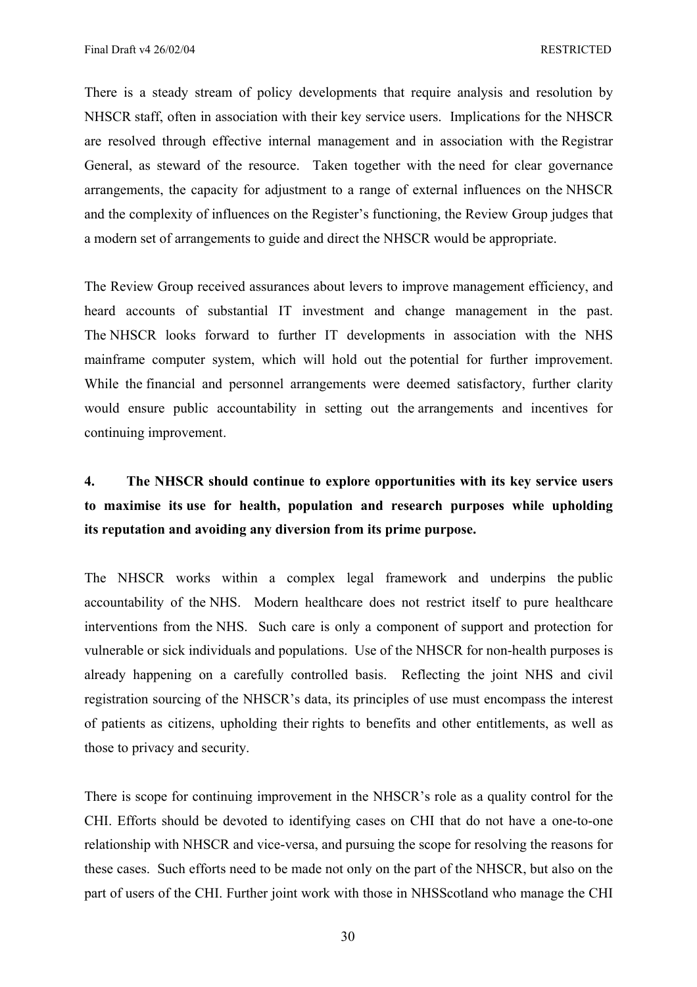There is a steady stream of policy developments that require analysis and resolution by NHSCR staff, often in association with their key service users. Implications for the NHSCR are resolved through effective internal management and in association with the Registrar General, as steward of the resource. Taken together with the need for clear governance arrangements, the capacity for adjustment to a range of external influences on the NHSCR and the complexity of influences on the Register's functioning, the Review Group judges that a modern set of arrangements to guide and direct the NHSCR would be appropriate.

The Review Group received assurances about levers to improve management efficiency, and heard accounts of substantial IT investment and change management in the past. The NHSCR looks forward to further IT developments in association with the NHS mainframe computer system, which will hold out the potential for further improvement. While the financial and personnel arrangements were deemed satisfactory, further clarity would ensure public accountability in setting out the arrangements and incentives for continuing improvement.

# **4. The NHSCR should continue to explore opportunities with its key service users to maximise its use for health, population and research purposes while upholding its reputation and avoiding any diversion from its prime purpose.**

The NHSCR works within a complex legal framework and underpins the public accountability of the NHS. Modern healthcare does not restrict itself to pure healthcare interventions from the NHS. Such care is only a component of support and protection for vulnerable or sick individuals and populations. Use of the NHSCR for non-health purposes is already happening on a carefully controlled basis. Reflecting the joint NHS and civil registration sourcing of the NHSCR's data, its principles of use must encompass the interest of patients as citizens, upholding their rights to benefits and other entitlements, as well as those to privacy and security.

There is scope for continuing improvement in the NHSCR's role as a quality control for the CHI. Efforts should be devoted to identifying cases on CHI that do not have a one-to-one relationship with NHSCR and vice-versa, and pursuing the scope for resolving the reasons for these cases. Such efforts need to be made not only on the part of the NHSCR, but also on the part of users of the CHI. Further joint work with those in NHSScotland who manage the CHI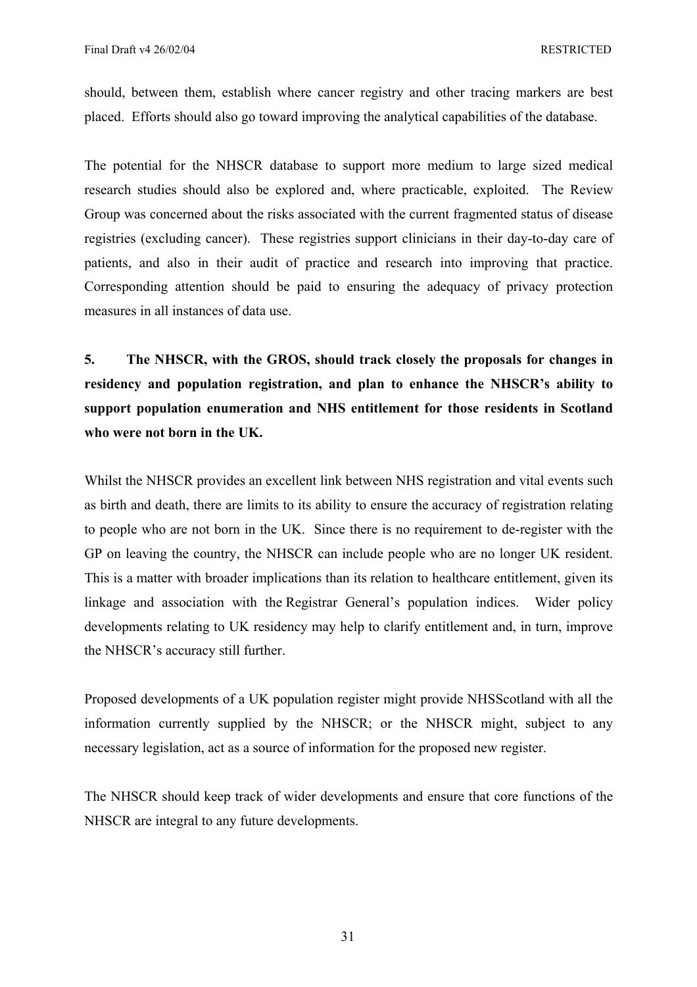should, between them, establish where cancer registry and other tracing markers are best placed. Efforts should also go toward improving the analytical capabilities of the database.

The potential for the NHSCR database to support more medium to large sized medical research studies should also be explored and, where practicable, exploited. The Review Group was concerned about the risks associated with the current fragmented status of disease registries (excluding cancer). These registries support clinicians in their day-to-day care of patients, and also in their audit of practice and research into improving that practice. Corresponding attention should be paid to ensuring the adequacy of privacy protection measures in all instances of data use.

**5. The NHSCR, with the GROS, should track closely the proposals for changes in residency and population registration, and plan to enhance the NHSCR's ability to support population enumeration and NHS entitlement for those residents in Scotland who were not born in the UK.** 

Whilst the NHSCR provides an excellent link between NHS registration and vital events such as birth and death, there are limits to its ability to ensure the accuracy of registration relating to people who are not born in the UK. Since there is no requirement to de-register with the GP on leaving the country, the NHSCR can include people who are no longer UK resident. This is a matter with broader implications than its relation to healthcare entitlement, given its linkage and association with the Registrar General's population indices. Wider policy developments relating to UK residency may help to clarify entitlement and, in turn, improve the NHSCR's accuracy still further.

Proposed developments of a UK population register might provide NHSScotland with all the information currently supplied by the NHSCR; or the NHSCR might, subject to any necessary legislation, act as a source of information for the proposed new register.

The NHSCR should keep track of wider developments and ensure that core functions of the NHSCR are integral to any future developments.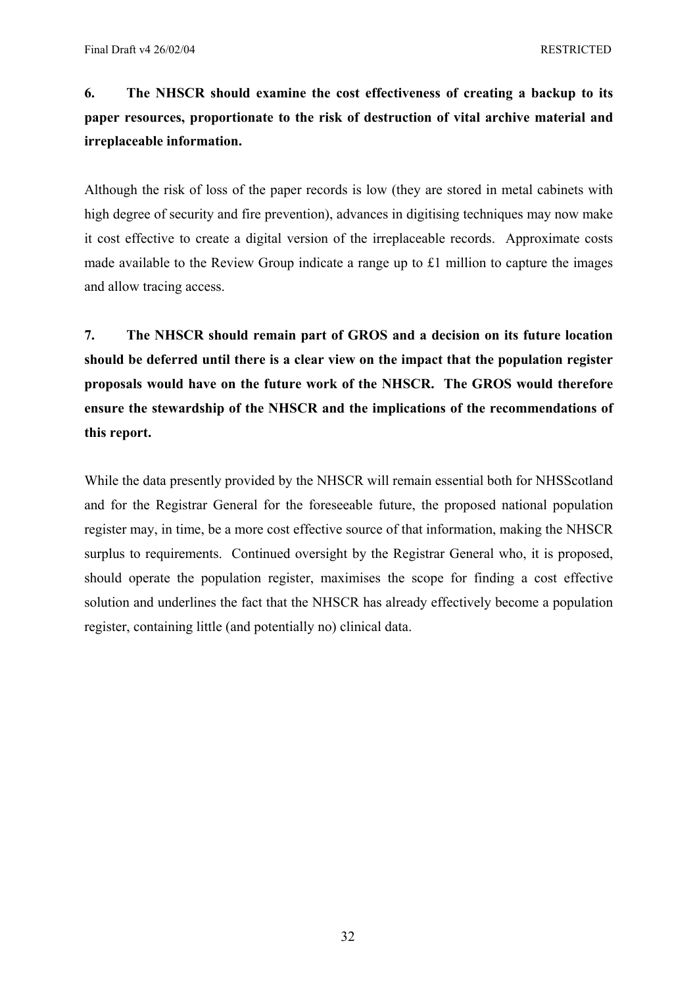# **6. The NHSCR should examine the cost effectiveness of creating a backup to its paper resources, proportionate to the risk of destruction of vital archive material and irreplaceable information.**

Although the risk of loss of the paper records is low (they are stored in metal cabinets with high degree of security and fire prevention), advances in digitising techniques may now make it cost effective to create a digital version of the irreplaceable records. Approximate costs made available to the Review Group indicate a range up to £1 million to capture the images and allow tracing access.

**7. The NHSCR should remain part of GROS and a decision on its future location should be deferred until there is a clear view on the impact that the population register proposals would have on the future work of the NHSCR. The GROS would therefore ensure the stewardship of the NHSCR and the implications of the recommendations of this report.** 

While the data presently provided by the NHSCR will remain essential both for NHSScotland and for the Registrar General for the foreseeable future, the proposed national population register may, in time, be a more cost effective source of that information, making the NHSCR surplus to requirements. Continued oversight by the Registrar General who, it is proposed, should operate the population register, maximises the scope for finding a cost effective solution and underlines the fact that the NHSCR has already effectively become a population register, containing little (and potentially no) clinical data.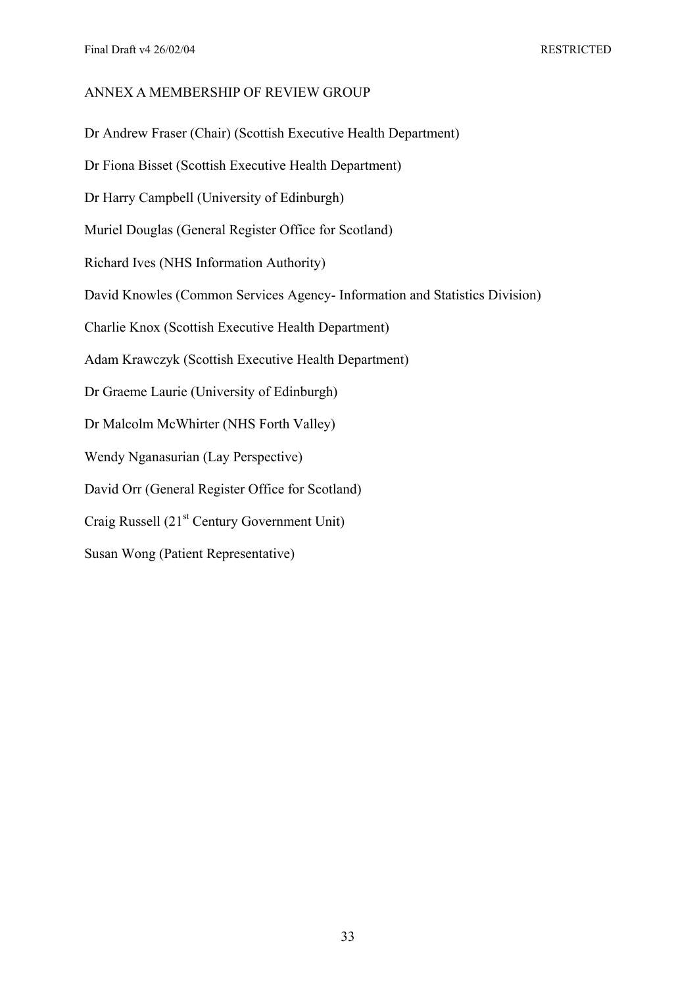# ANNEX A MEMBERSHIP OF REVIEW GROUP

Dr Andrew Fraser (Chair) (Scottish Executive Health Department)

Dr Fiona Bisset (Scottish Executive Health Department)

Dr Harry Campbell (University of Edinburgh)

Muriel Douglas (General Register Office for Scotland)

Richard Ives (NHS Information Authority)

David Knowles (Common Services Agency- Information and Statistics Division)

Charlie Knox (Scottish Executive Health Department)

Adam Krawczyk (Scottish Executive Health Department)

Dr Graeme Laurie (University of Edinburgh)

Dr Malcolm McWhirter (NHS Forth Valley)

Wendy Nganasurian (Lay Perspective)

David Orr (General Register Office for Scotland)

Craig Russell (21<sup>st</sup> Century Government Unit)

Susan Wong (Patient Representative)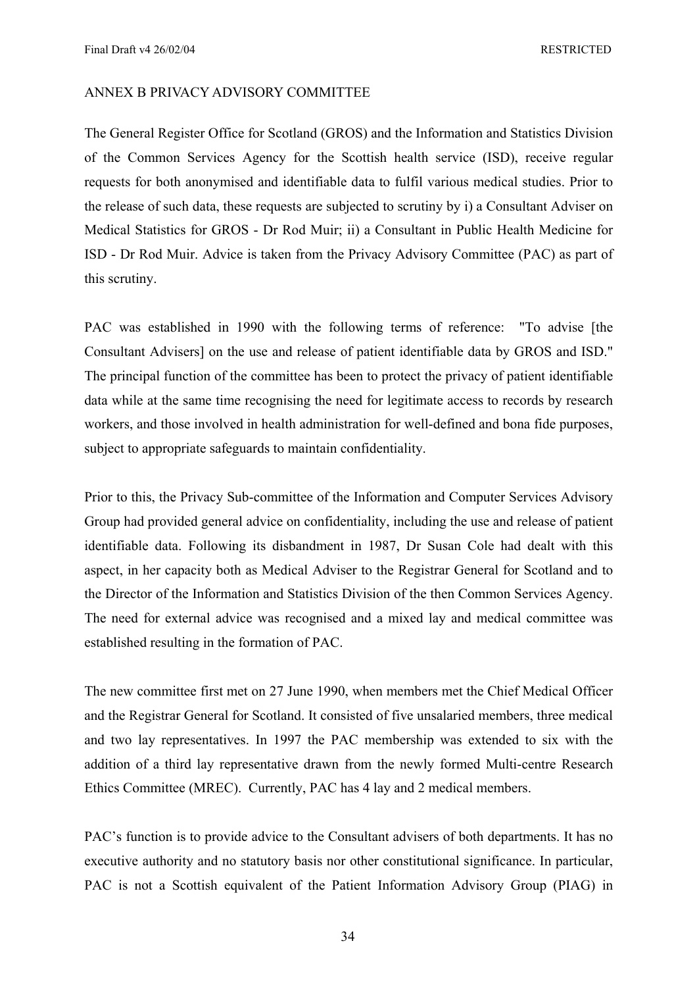#### ANNEX B PRIVACY ADVISORY COMMITTEE

The General Register Office for Scotland (GROS) and the Information and Statistics Division of the Common Services Agency for the Scottish health service (ISD), receive regular requests for both anonymised and identifiable data to fulfil various medical studies. Prior to the release of such data, these requests are subjected to scrutiny by i) a Consultant Adviser on Medical Statistics for GROS - Dr Rod Muir; ii) a Consultant in Public Health Medicine for ISD - Dr Rod Muir. Advice is taken from the Privacy Advisory Committee (PAC) as part of this scrutiny.

PAC was established in 1990 with the following terms of reference: "To advise [the Consultant Advisers] on the use and release of patient identifiable data by GROS and ISD." The principal function of the committee has been to protect the privacy of patient identifiable data while at the same time recognising the need for legitimate access to records by research workers, and those involved in health administration for well-defined and bona fide purposes, subject to appropriate safeguards to maintain confidentiality.

Prior to this, the Privacy Sub-committee of the Information and Computer Services Advisory Group had provided general advice on confidentiality, including the use and release of patient identifiable data. Following its disbandment in 1987, Dr Susan Cole had dealt with this aspect, in her capacity both as Medical Adviser to the Registrar General for Scotland and to the Director of the Information and Statistics Division of the then Common Services Agency. The need for external advice was recognised and a mixed lay and medical committee was established resulting in the formation of PAC.

The new committee first met on 27 June 1990, when members met the Chief Medical Officer and the Registrar General for Scotland. It consisted of five unsalaried members, three medical and two lay representatives. In 1997 the PAC membership was extended to six with the addition of a third lay representative drawn from the newly formed Multi-centre Research Ethics Committee (MREC). Currently, PAC has 4 lay and 2 medical members.

PAC's function is to provide advice to the Consultant advisers of both departments. It has no executive authority and no statutory basis nor other constitutional significance. In particular, PAC is not a Scottish equivalent of the Patient Information Advisory Group (PIAG) in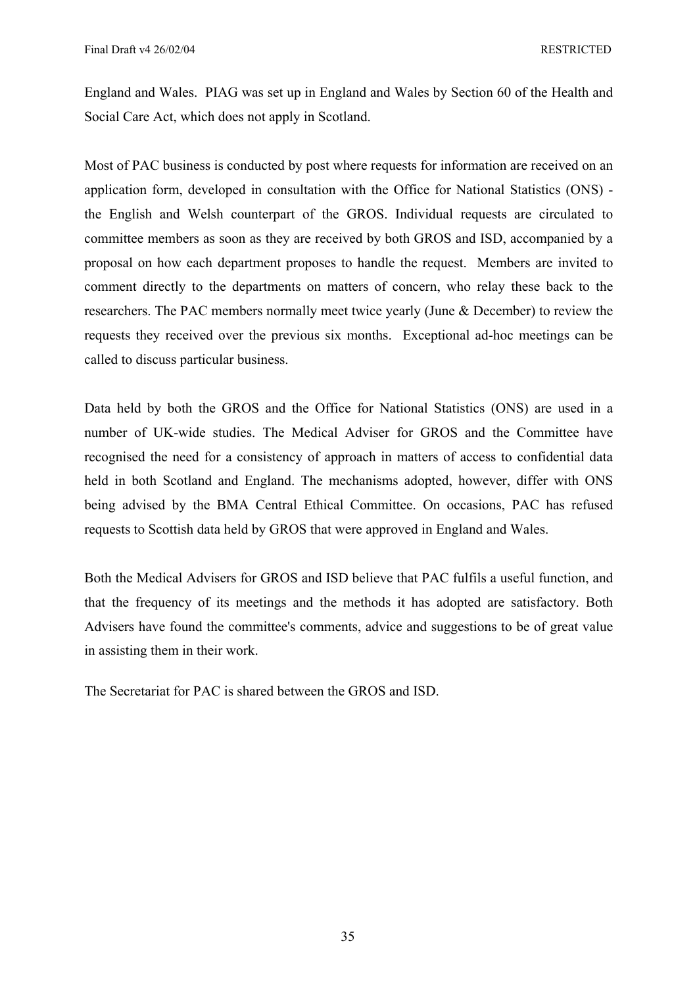England and Wales. PIAG was set up in England and Wales by Section 60 of the Health and Social Care Act, which does not apply in Scotland.

Most of PAC business is conducted by post where requests for information are received on an application form, developed in consultation with the Office for National Statistics (ONS) the English and Welsh counterpart of the GROS. Individual requests are circulated to committee members as soon as they are received by both GROS and ISD, accompanied by a proposal on how each department proposes to handle the request. Members are invited to comment directly to the departments on matters of concern, who relay these back to the researchers. The PAC members normally meet twice yearly (June & December) to review the requests they received over the previous six months. Exceptional ad-hoc meetings can be called to discuss particular business.

Data held by both the GROS and the Office for National Statistics (ONS) are used in a number of UK-wide studies. The Medical Adviser for GROS and the Committee have recognised the need for a consistency of approach in matters of access to confidential data held in both Scotland and England. The mechanisms adopted, however, differ with ONS being advised by the BMA Central Ethical Committee. On occasions, PAC has refused requests to Scottish data held by GROS that were approved in England and Wales.

Both the Medical Advisers for GROS and ISD believe that PAC fulfils a useful function, and that the frequency of its meetings and the methods it has adopted are satisfactory. Both Advisers have found the committee's comments, advice and suggestions to be of great value in assisting them in their work.

The Secretariat for PAC is shared between the GROS and ISD.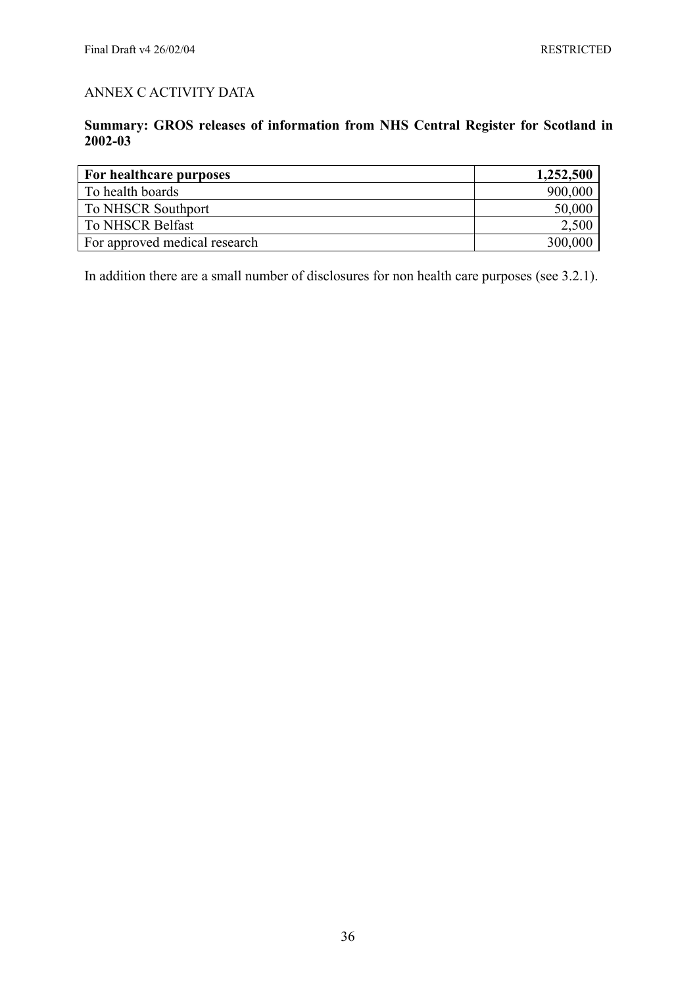# ANNEX C ACTIVITY DATA

# **Summary: GROS releases of information from NHS Central Register for Scotland in 2002-03**

| For healthcare purposes       | 1,252,500 |
|-------------------------------|-----------|
| To health boards              | 900,000   |
| To NHSCR Southport            | 50,000    |
| To NHSCR Belfast              | 2,500     |
| For approved medical research | 300,000   |

In addition there are a small number of disclosures for non health care purposes (see 3.2.1).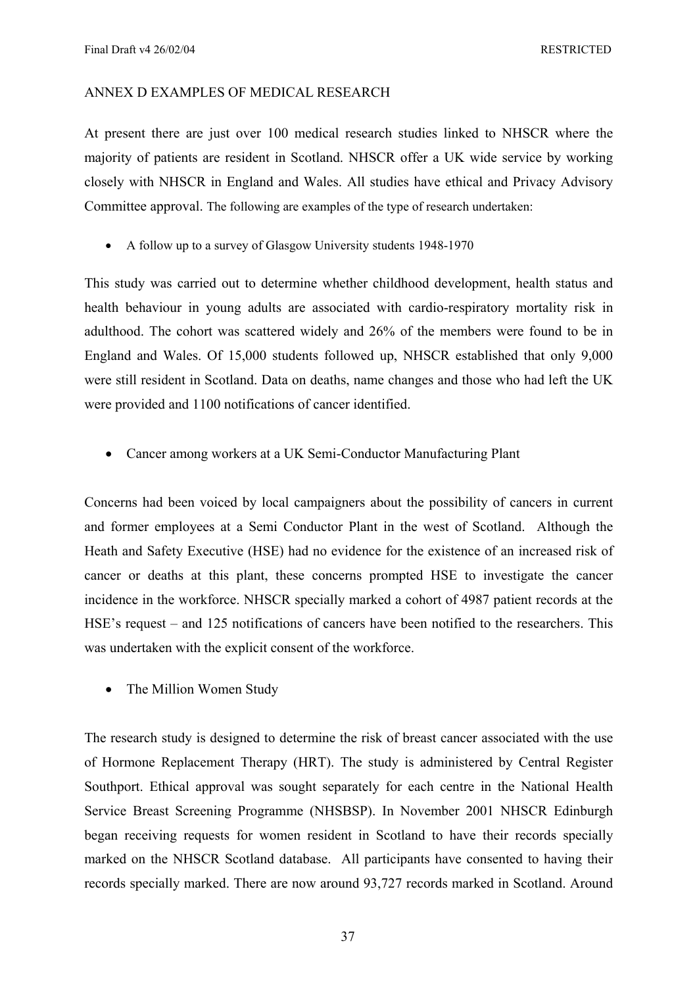## ANNEX D EXAMPLES OF MEDICAL RESEARCH

At present there are just over 100 medical research studies linked to NHSCR where the majority of patients are resident in Scotland. NHSCR offer a UK wide service by working closely with NHSCR in England and Wales. All studies have ethical and Privacy Advisory Committee approval. The following are examples of the type of research undertaken:

• A follow up to a survey of Glasgow University students 1948-1970

This study was carried out to determine whether childhood development, health status and health behaviour in young adults are associated with cardio-respiratory mortality risk in adulthood. The cohort was scattered widely and 26% of the members were found to be in England and Wales. Of 15,000 students followed up, NHSCR established that only 9,000 were still resident in Scotland. Data on deaths, name changes and those who had left the UK were provided and 1100 notifications of cancer identified.

• Cancer among workers at a UK Semi-Conductor Manufacturing Plant

Concerns had been voiced by local campaigners about the possibility of cancers in current and former employees at a Semi Conductor Plant in the west of Scotland. Although the Heath and Safety Executive (HSE) had no evidence for the existence of an increased risk of cancer or deaths at this plant, these concerns prompted HSE to investigate the cancer incidence in the workforce. NHSCR specially marked a cohort of 4987 patient records at the HSE's request – and 125 notifications of cancers have been notified to the researchers. This was undertaken with the explicit consent of the workforce.

• The Million Women Study

The research study is designed to determine the risk of breast cancer associated with the use of Hormone Replacement Therapy (HRT). The study is administered by Central Register Southport. Ethical approval was sought separately for each centre in the National Health Service Breast Screening Programme (NHSBSP). In November 2001 NHSCR Edinburgh began receiving requests for women resident in Scotland to have their records specially marked on the NHSCR Scotland database. All participants have consented to having their records specially marked. There are now around 93,727 records marked in Scotland. Around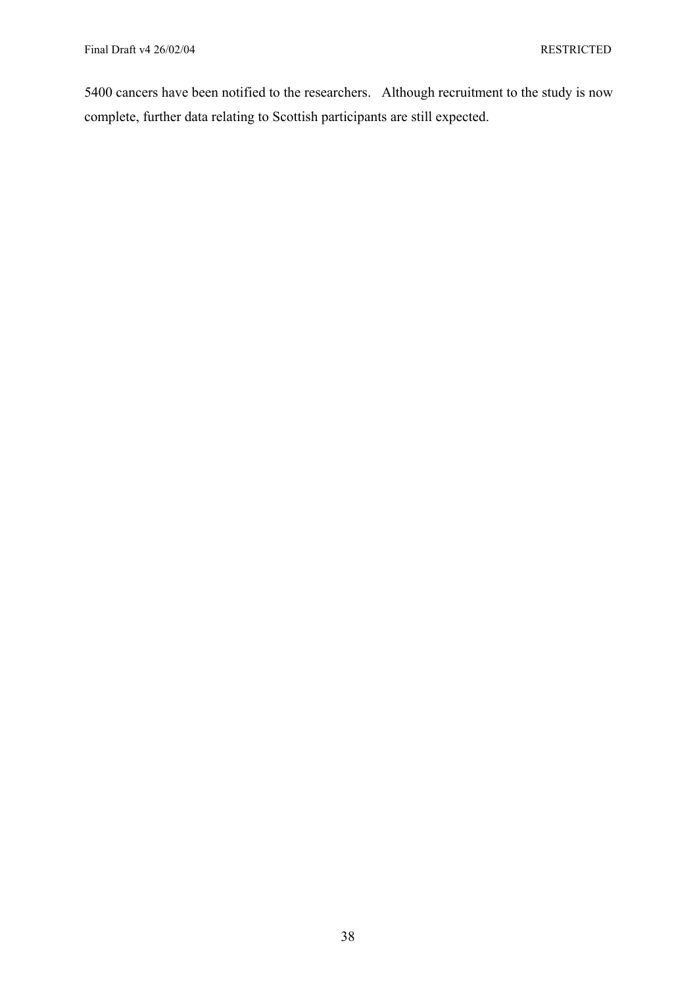5400 cancers have been notified to the researchers. Although recruitment to the study is now complete, further data relating to Scottish participants are still expected.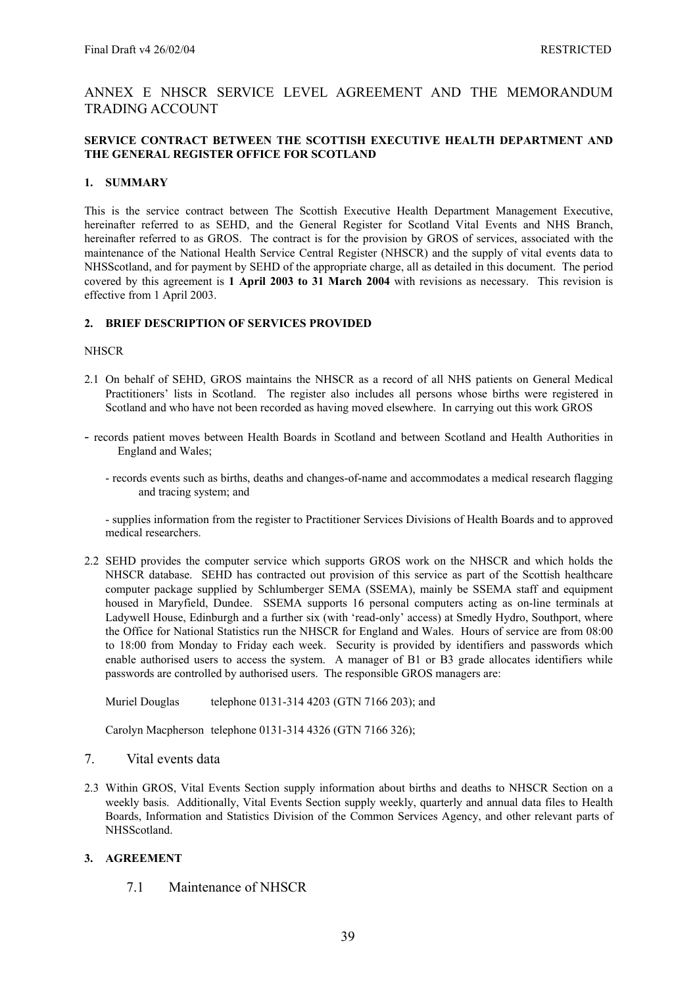# ANNEX E NHSCR SERVICE LEVEL AGREEMENT AND THE MEMORANDUM TRADING ACCOUNT

#### **SERVICE CONTRACT BETWEEN THE SCOTTISH EXECUTIVE HEALTH DEPARTMENT AND THE GENERAL REGISTER OFFICE FOR SCOTLAND**

#### **1. SUMMARY**

This is the service contract between The Scottish Executive Health Department Management Executive, hereinafter referred to as SEHD, and the General Register for Scotland Vital Events and NHS Branch, hereinafter referred to as GROS. The contract is for the provision by GROS of services, associated with the maintenance of the National Health Service Central Register (NHSCR) and the supply of vital events data to NHSScotland, and for payment by SEHD of the appropriate charge, all as detailed in this document. The period covered by this agreement is **1 April 2003 to 31 March 2004** with revisions as necessary. This revision is effective from 1 April 2003.

#### **2. BRIEF DESCRIPTION OF SERVICES PROVIDED**

#### **NHSCR**

- 2.1 On behalf of SEHD, GROS maintains the NHSCR as a record of all NHS patients on General Medical Practitioners' lists in Scotland. The register also includes all persons whose births were registered in Scotland and who have not been recorded as having moved elsewhere. In carrying out this work GROS
- records patient moves between Health Boards in Scotland and between Scotland and Health Authorities in England and Wales;
	- records events such as births, deaths and changes-of-name and accommodates a medical research flagging and tracing system; and

- supplies information from the register to Practitioner Services Divisions of Health Boards and to approved medical researchers.

2.2 SEHD provides the computer service which supports GROS work on the NHSCR and which holds the NHSCR database. SEHD has contracted out provision of this service as part of the Scottish healthcare computer package supplied by Schlumberger SEMA (SSEMA), mainly be SSEMA staff and equipment housed in Maryfield, Dundee. SSEMA supports 16 personal computers acting as on-line terminals at Ladywell House, Edinburgh and a further six (with 'read-only' access) at Smedly Hydro, Southport, where the Office for National Statistics run the NHSCR for England and Wales. Hours of service are from 08:00 to 18:00 from Monday to Friday each week. Security is provided by identifiers and passwords which enable authorised users to access the system. A manager of B1 or B3 grade allocates identifiers while passwords are controlled by authorised users. The responsible GROS managers are:

Muriel Douglas telephone 0131-314 4203 (GTN 7166 203); and

Carolyn Macpherson telephone 0131-314 4326 (GTN 7166 326);

- 7. Vital events data
- 2.3 Within GROS, Vital Events Section supply information about births and deaths to NHSCR Section on a weekly basis. Additionally, Vital Events Section supply weekly, quarterly and annual data files to Health Boards, Information and Statistics Division of the Common Services Agency, and other relevant parts of NHSScotland.

#### **3. AGREEMENT**

7.1 Maintenance of NHSCR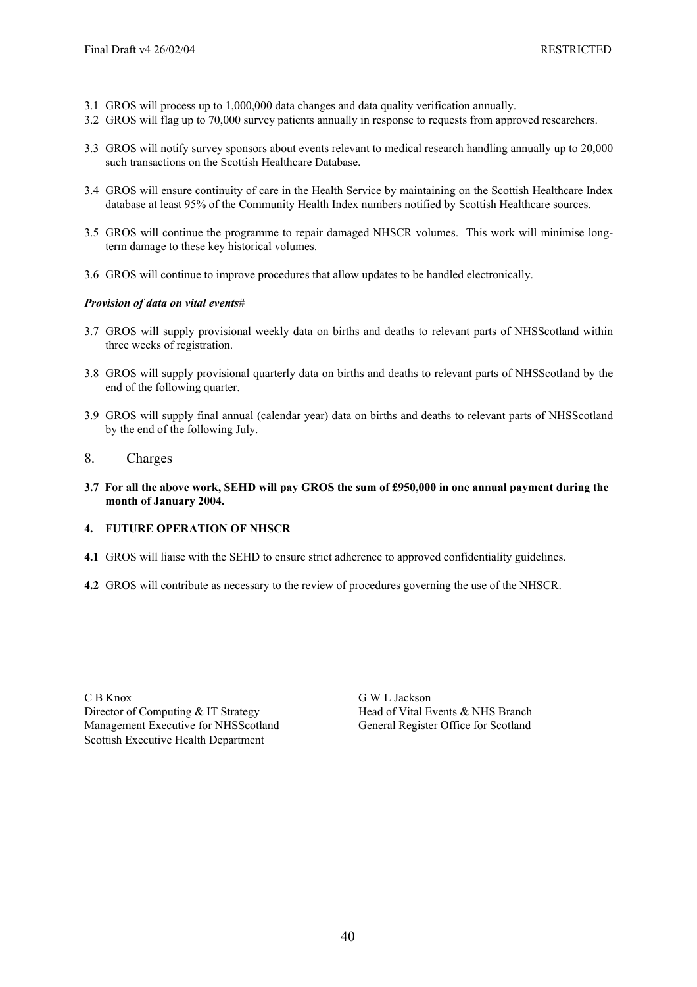- 3.1 GROS will process up to 1,000,000 data changes and data quality verification annually.
- 3.2 GROS will flag up to 70,000 survey patients annually in response to requests from approved researchers.
- 3.3 GROS will notify survey sponsors about events relevant to medical research handling annually up to 20,000 such transactions on the Scottish Healthcare Database.
- 3.4 GROS will ensure continuity of care in the Health Service by maintaining on the Scottish Healthcare Index database at least 95% of the Community Health Index numbers notified by Scottish Healthcare sources.
- 3.5 GROS will continue the programme to repair damaged NHSCR volumes. This work will minimise longterm damage to these key historical volumes.
- 3.6 GROS will continue to improve procedures that allow updates to be handled electronically.

#### *Provision of data on vital events*#

- 3.7 GROS will supply provisional weekly data on births and deaths to relevant parts of NHSScotland within three weeks of registration.
- 3.8 GROS will supply provisional quarterly data on births and deaths to relevant parts of NHSScotland by the end of the following quarter.
- 3.9 GROS will supply final annual (calendar year) data on births and deaths to relevant parts of NHSScotland by the end of the following July.

### 8. Charges

**3.7 For all the above work, SEHD will pay GROS the sum of £950,000 in one annual payment during the month of January 2004.** 

#### **4. FUTURE OPERATION OF NHSCR**

- **4.1** GROS will liaise with the SEHD to ensure strict adherence to approved confidentiality guidelines.
- **4.2** GROS will contribute as necessary to the review of procedures governing the use of the NHSCR.

C B Knox G W L Jackson Director of Computing & IT Strategy Head of Vital Events & NHS Branch Management Executive for NHSScotland General Register Office for Scotland Scottish Executive Health Department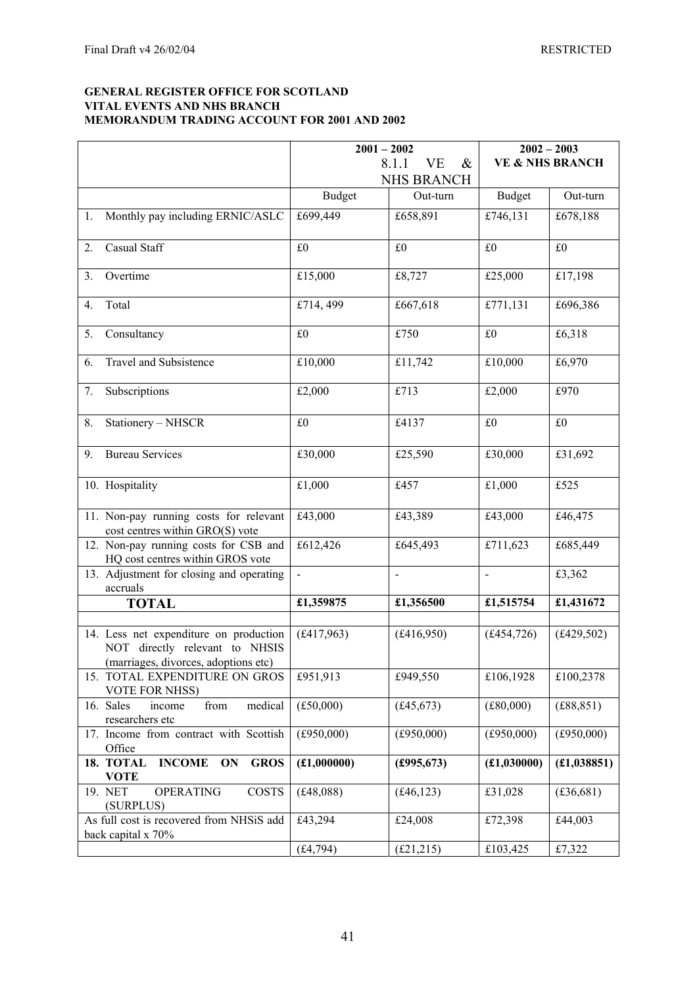#### **GENERAL REGISTER OFFICE FOR SCOTLAND VITAL EVENTS AND NHS BRANCH MEMORANDUM TRADING ACCOUNT FOR 2001 AND 2002**

|                                                                                                                  | $2001 - 2002$  |                     | $2002 - 2003$              |              |
|------------------------------------------------------------------------------------------------------------------|----------------|---------------------|----------------------------|--------------|
|                                                                                                                  |                | 8.1.1<br>VE<br>$\&$ | <b>VE &amp; NHS BRANCH</b> |              |
|                                                                                                                  |                | <b>NHS BRANCH</b>   |                            |              |
|                                                                                                                  | <b>Budget</b>  | Out-turn            | <b>Budget</b>              | Out-turn     |
| 1. Monthly pay including ERNIC/ASLC                                                                              | £699,449       | £658,891            | £746,131                   | £678,188     |
| Casual Staff<br>2.                                                                                               | £0             | £0                  | £0                         | £0           |
| Overtime<br>3.                                                                                                   | £15,000        | £8,727              | £25,000                    | £17,198      |
| Total<br>4.                                                                                                      | £714, 499      | £667,618            | £771,131                   | £696,386     |
| 5.<br>Consultancy                                                                                                | £0             | £750                | £0                         | £6,318       |
| Travel and Subsistence<br>6.                                                                                     | £10,000        | £11,742             | £10,000                    | £6,970       |
| Subscriptions<br>7.                                                                                              | £2,000         | £713                | £2,000                     | £970         |
| Stationery - NHSCR<br>8.                                                                                         | £0             | £4137               | £0                         | £0           |
| <b>Bureau Services</b><br>9.                                                                                     | £30,000        | £25,590             | £30,000                    | £31,692      |
| 10. Hospitality                                                                                                  | £1,000         | £457                | £1,000                     | £525         |
| 11. Non-pay running costs for relevant<br>cost centres within GRO(S) vote                                        | £43,000        | £43,389             | £43,000                    | £46,475      |
| 12. Non-pay running costs for CSB and<br>HQ cost centres within GROS vote                                        | £612,426       | £645,493            | £711,623                   | £685,449     |
| 13. Adjustment for closing and operating<br>accruals                                                             | $\blacksquare$ | $\blacksquare$      | $\overline{\phantom{a}}$   | £3,362       |
| <b>TOTAL</b>                                                                                                     | £1,359875      | £1,356500           | £1,515754                  | £1,431672    |
|                                                                                                                  |                |                     |                            |              |
| 14. Less net expenditure on production<br>NOT directly relevant to NHSIS<br>(marriages, divorces, adoptions etc) | (f.417, 963)   | (f416,950)          | (f.454, 726)               | (f.429, 502) |
| 15. TOTAL EXPENDITURE ON GROS<br>VOTE FOR NHSS)                                                                  | £951,913       | £949,550            | £106,1928                  | £100,2378    |
| 16. Sales<br>medical<br>income<br>from<br>researchers etc                                                        | (f.50,000)     | (f.45, 673)         | (E80,000)                  | (E88, 851)   |
| 17. Income from contract with Scottish<br>Office                                                                 | (E950,000)     | (f950,000)          | (f950,000)                 | (f950,000)   |
| 18. TOTAL<br><b>INCOME</b><br><b>GROS</b><br>ON<br><b>VOTE</b>                                                   | (£1,000000)    | £995,673)           | (f1,030000)                | (E1,038851)  |
| COSTS<br>19. NET<br><b>OPERATING</b><br>(SURPLUS)                                                                | (f.48, 088)    | (f.46, 123)         | £31,028                    | (£36,681)    |
| As full cost is recovered from NHSiS add<br>back capital x 70%                                                   | £43,294        | £24,008             | £72,398                    | £44,003      |
|                                                                                                                  | (f.4, 794)     | (E21, 215)          | £103,425                   | £7,322       |